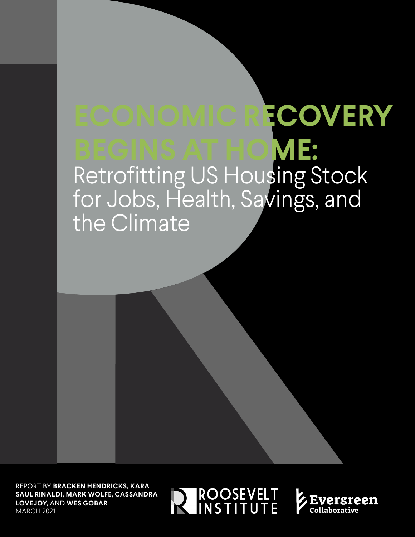# **UDA COMMOLUPTUS ECONOMIC RECOVERY**  BEGINS AT HOI Retrofitting US **BEGINS AT HOME:**  Retrofitting US Housing Stock for Jobs, Health, Savings, and the Climate

REPORT BY **BRACKEN HENDRICKS, KARA SAUL RINALDI, MARK WOLFE, CASSANDRA LOVEJOY,** AND **WES GOBAR** MARCH 2021



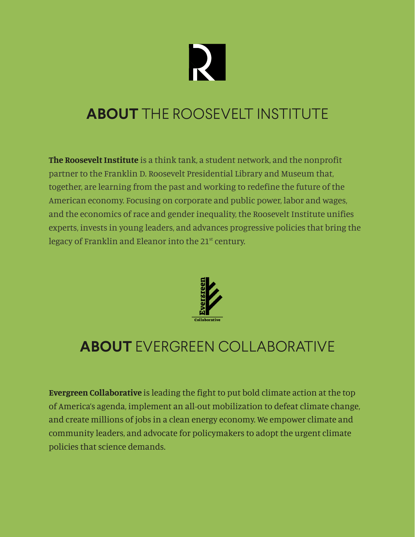

## **ABOUT** THE ROOSEVELT INSTITUTE

**The Roosevelt Institute** is a think tank, a student network, and the nonprofit partner to the Franklin D. Roosevelt Presidential Library and Museum that, together, are learning from the past and working to redefine the future of the American economy. Focusing on corporate and public power, labor and wages, and the economics of race and gender inequality, the Roosevelt Institute unifies experts, invests in young leaders, and advances progressive policies that bring the legacy of Franklin and Eleanor into the  $21<sup>st</sup>$  century.



## **ABOUT** EVERGREEN COLLABORATIVE

**Evergreen Collaborative** is leading the fight to put bold climate action at the top of America's agenda, implement an all-out mobilization to defeat climate change, and create millions of jobs in a clean energy economy. We empower climate and community leaders, and advocate for policymakers to adopt the urgent climate policies that science demands.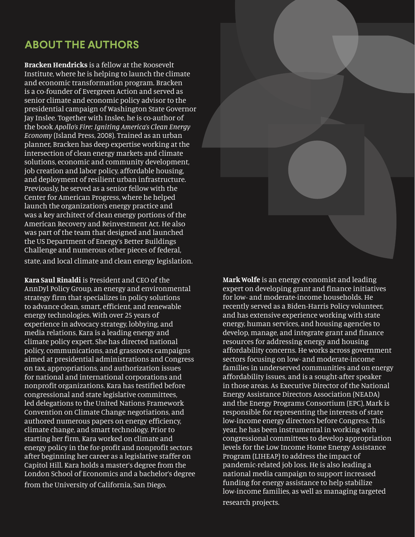### **ABOUT THE AUTHORS**

**Bracken Hendricks** is a fellow at the Roosevelt Institute, where he is helping to launch the climate and economic transformation program. Bracken is a co-founder of Evergreen Action and served as senior climate and economic policy advisor to the presidential campaign of Washington State Governor Jay Inslee. Together with Inslee, he is co-author of the book *Apollo's Fire: Igniting America's Clean Energy Economy* (Island Press, 2008). Trained as an urban planner, Bracken has deep expertise working at the intersection of clean energy markets and climate solutions, economic and community development, job creation and labor policy, affordable housing, and deployment of resilient urban infrastructure. Previously, he served as a senior fellow with the Center for American Progress, where he helped launch the organization's energy practice and was a key architect of clean energy portions of the American Recovery and Reinvestment Act. He also was part of the team that designed and launched the US Department of Energy's Better Buildings Challenge and numerous other pieces of federal, state, and local climate and clean energy legislation.

**Kara Saul Rinaldi** is President and CEO of the AnnDyl Policy Group, an energy and environmental strategy firm that specializes in policy solutions to advance clean, smart, efficient, and renewable energy technologies. With over 25 years of experience in advocacy strategy, lobbying, and media relations, Kara is a leading energy and climate policy expert. She has directed national policy, communications, and grassroots campaigns aimed at presidential administrations and Congress on tax, appropriations, and authorization issues for national and international corporations and nonprofit organizations. Kara has testified before congressional and state legislative committees, led delegations to the United Nations Framework Convention on Climate Change negotiations, and authored numerous papers on energy efficiency, climate change, and smart technology. Prior to starting her firm, Kara worked on climate and energy policy in the for-profit and nonprofit sectors after beginning her career as a legislative staffer on Capitol Hill. Kara holds a master's degree from the London School of Economics and a bachelor's degree from the University of California, San Diego.



**Mark Wolfe** is an energy economist and leading expert on developing grant and finance initiatives for low- and moderate-income households. He recently served as a Biden-Harris Policy volunteer, and has extensive experience working with state energy, human services, and housing agencies to develop, manage, and integrate grant and finance resources for addressing energy and housing affordability concerns. He works across government sectors focusing on low- and moderate-income families in underserved communities and on energy affordability issues, and is a sought-after speaker in those areas. As Executive Director of the National Energy Assistance Directors Association (NEADA) and the Energy Programs Consortium (EPC), Mark is responsible for representing the interests of state low-income energy directors before Congress. This year, he has been instrumental in working with congressional committees to develop appropriation levels for the Low Income Home Energy Assistance Program (LIHEAP) to address the impact of pandemic-related job loss. He is also leading a national media campaign to support increased funding for energy assistance to help stabilize low-income families, as well as managing targeted research projects.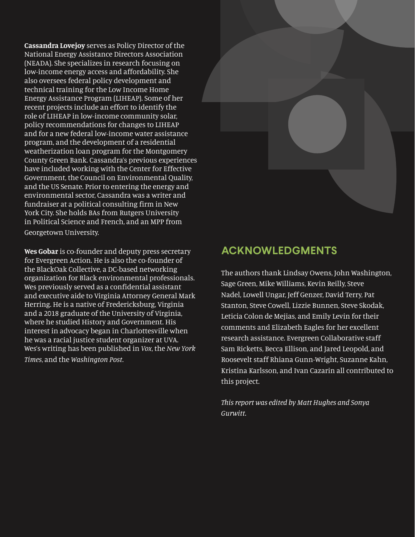**Cassandra Lovejoy** serves as Policy Director of the National Energy Assistance Directors Association (NEADA). She specializes in research focusing on low-income energy access and affordability. She also oversees federal policy development and technical training for the Low Income Home Energy Assistance Program (LIHEAP). Some of her recent projects include an effort to identify the role of LIHEAP in low-income community solar, policy recommendations for changes to LIHEAP and for a new federal low-income water assistance program, and the development of a residential weatherization loan program for the Montgomery County Green Bank. Cassandra's previous experiences have included working with the Center for Effective Government, the Council on Environmental Quality, and the US Senate. Prior to entering the energy and environmental sector, Cassandra was a writer and fundraiser at a political consulting firm in New York City. She holds BAs from Rutgers University in Political Science and French, and an MPP from Georgetown University.

**Wes Gobar** is co-founder and deputy press secretary for Evergreen Action. He is also the co-founder of the BlackOak Collective, a DC-based networking organization for Black environmental professionals. Wes previously served as a confidential assistant and executive aide to Virginia Attorney General Mark Herring. He is a native of Fredericksburg, Virginia and a 2018 graduate of the University of Virginia, where he studied History and Government. His interest in advocacy began in Charlottesville when he was a racial justice student organizer at UVA. Wes's writing has been published in *Vox*, the *New York Times*, and the *Washington Post*.



### **ACKNOWLEDGMENTS**

The authors thank Lindsay Owens, John Washington, Sage Green, Mike Williams, Kevin Reilly, Steve Nadel, Lowell Ungar, Jeff Genzer, David Terry, Pat Stanton, Steve Cowell, Lizzie Bunnen, Steve Skodak, Leticia Colon de Mejias, and Emily Levin for their comments and Elizabeth Eagles for her excellent research assistance. Evergreen Collaborative staff Sam Ricketts, Becca Ellison, and Jared Leopold, and Roosevelt staff Rhiana Gunn-Wright, Suzanne Kahn, Kristina Karlsson, and Ivan Cazarin all contributed to this project.

*This report was edited by Matt Hughes and Sonya Gurwitt.*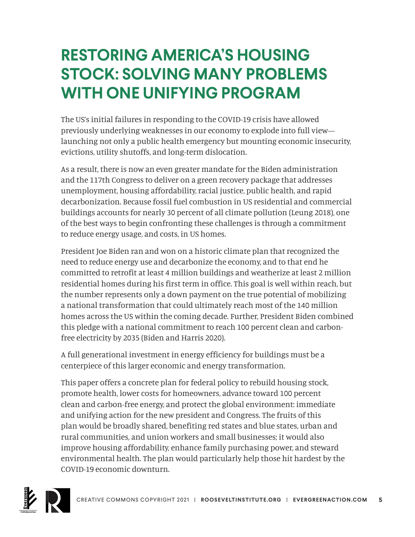# **RESTORING AMERICA'S HOUSING STOCK: SOLVING MANY PROBLEMS WITH ONE UNIFYING PROGRAM**

The US's initial failures in responding to the COVID-19 crisis have allowed previously underlying weaknesses in our economy to explode into full view launching not only a public health emergency but mounting economic insecurity, evictions, utility shutoffs, and long-term dislocation.

As a result, there is now an even greater mandate for the Biden administration and the 117th Congress to deliver on a green recovery package that addresses unemployment, housing affordability, racial justice, public health, and rapid decarbonization. Because fossil fuel combustion in US residential and commercial buildings accounts for nearly 30 percent of all climate pollution (Leung 2018), one of the best ways to begin confronting these challenges is through a commitment to reduce energy usage, and costs, in US homes.

President Joe Biden ran and won on a historic climate plan that recognized the need to reduce energy use and decarbonize the economy, and to that end he committed to retrofit at least 4 million buildings and weatherize at least 2 million residential homes during his first term in office. This goal is well within reach, but the number represents only a down payment on the true potential of mobilizing a national transformation that could ultimately reach most of the 140 million homes across the US within the coming decade. Further, President Biden combined this pledge with a national commitment to reach 100 percent clean and carbonfree electricity by 2035 (Biden and Harris 2020).

A full generational investment in energy efficiency for buildings must be a centerpiece of this larger economic and energy transformation.

This paper offers a concrete plan for federal policy to rebuild housing stock, promote health, lower costs for homeowners, advance toward 100 percent clean and carbon-free energy, and protect the global environment: immediate and unifying action for the new president and Congress. The fruits of this plan would be broadly shared, benefiting red states and blue states, urban and rural communities, and union workers and small businesses; it would also improve housing affordability, enhance family purchasing power, and steward environmental health. The plan would particularly help those hit hardest by the COVID-19 economic downturn.

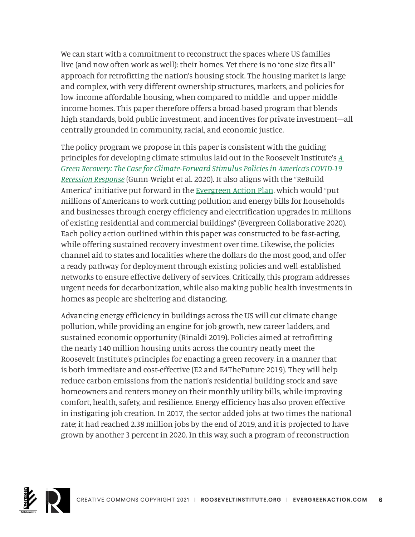We can start with a commitment to reconstruct the spaces where US families live (and now often work as well): their homes. Yet there is no "one size fits all" approach for retrofitting the nation's housing stock. The housing market is large and complex, with very different ownership structures, markets, and policies for low-income affordable housing, when compared to middle- and upper-middleincome homes. This paper therefore offers a broad-based program that blends high standards, bold public investment, and incentives for private investment—all centrally grounded in community, racial, and economic justice.

The policy program we propose in this paper is consistent with the guiding principles for developing climate stimulus laid out in the Roosevelt Institute's *[A](https://rooseveltinstitute.org/publications/green-recovery-case-for-climate-forward-stimulus-policies-americas-covid-19-recession-response/)  [Green Recovery: The Case for Climate-Forward Stimulus Policies in America's COVID-19](https://rooseveltinstitute.org/publications/green-recovery-case-for-climate-forward-stimulus-policies-americas-covid-19-recession-response/)  [Recession Response](https://rooseveltinstitute.org/publications/green-recovery-case-for-climate-forward-stimulus-policies-americas-covid-19-recession-response/)* (Gunn-Wright et al. 2020). It also aligns with the "ReBuild America" initiative put forward in the [Evergreen Action Plan,](https://collaborative.evergreenaction.com/policy-hub/plan) which would "put millions of Americans to work cutting pollution and energy bills for households and businesses through energy efficiency and electrification upgrades in millions of existing residential and commercial buildings" (Evergreen Collaborative 2020). Each policy action outlined within this paper was constructed to be fast-acting, while offering sustained recovery investment over time. Likewise, the policies channel aid to states and localities where the dollars do the most good, and offer a ready pathway for deployment through existing policies and well-established networks to ensure effective delivery of services. Critically, this program addresses urgent needs for decarbonization, while also making public health investments in homes as people are sheltering and distancing.

Advancing energy efficiency in buildings across the US will cut climate change pollution, while providing an engine for job growth, new career ladders, and sustained economic opportunity (Rinaldi 2019). Policies aimed at retrofitting the nearly 140 million housing units across the country neatly meet the Roosevelt Institute's principles for enacting a green recovery, in a manner that is both immediate and cost-effective (E2 and E4TheFuture 2019). They will help reduce carbon emissions from the nation's residential building stock and save homeowners and renters money on their monthly utility bills, while improving comfort, health, safety, and resilience. Energy efficiency has also proven effective in instigating job creation. In 2017, the sector added jobs at two times the national rate; it had reached 2.38 million jobs by the end of 2019, and it is projected to have grown by another 3 percent in 2020. In this way, such a program of reconstruction

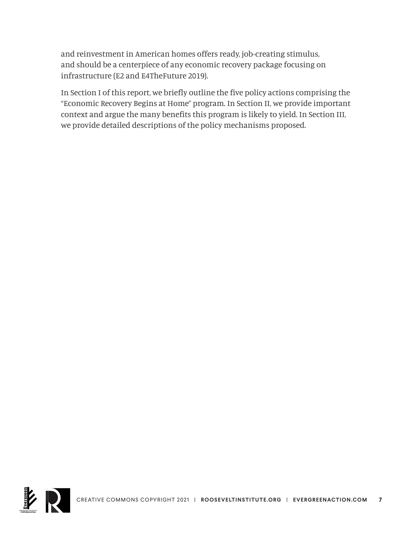and reinvestment in American homes offers ready, job-creating stimulus, and should be a centerpiece of any economic recovery package focusing on infrastructure (E2 and E4TheFuture 2019).

In Section I of this report, we briefly outline the five policy actions comprising the "Economic Recovery Begins at Home" program. In Section II, we provide important context and argue the many benefits this program is likely to yield. In Section III, we provide detailed descriptions of the policy mechanisms proposed.

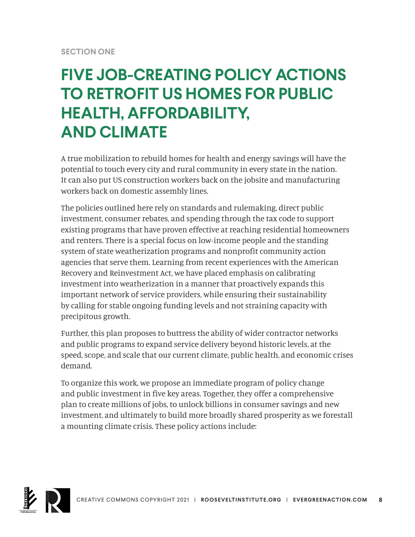## **FIVE JOB-CREATING POLICY ACTIONS TO RETROFIT US HOMES FOR PUBLIC HEALTH, AFFORDABILITY, AND CLIMATE**

A true mobilization to rebuild homes for health and energy savings will have the potential to touch every city and rural community in every state in the nation. It can also put US construction workers back on the jobsite and manufacturing workers back on domestic assembly lines.

The policies outlined here rely on standards and rulemaking, direct public investment, consumer rebates, and spending through the tax code to support existing programs that have proven effective at reaching residential homeowners and renters. There is a special focus on low-income people and the standing system of state weatherization programs and nonprofit community action agencies that serve them. Learning from recent experiences with the American Recovery and Reinvestment Act, we have placed emphasis on calibrating investment into weatherization in a manner that proactively expands this important network of service providers, while ensuring their sustainability by calling for stable ongoing funding levels and not straining capacity with precipitous growth.

Further, this plan proposes to buttress the ability of wider contractor networks and public programs to expand service delivery beyond historic levels, at the speed, scope, and scale that our current climate, public health, and economic crises demand.

To organize this work, we propose an immediate program of policy change and public investment in five key areas. Together, they offer a comprehensive plan to create millions of jobs, to unlock billions in consumer savings and new investment, and ultimately to build more broadly shared prosperity as we forestall a mounting climate crisis. These policy actions include:

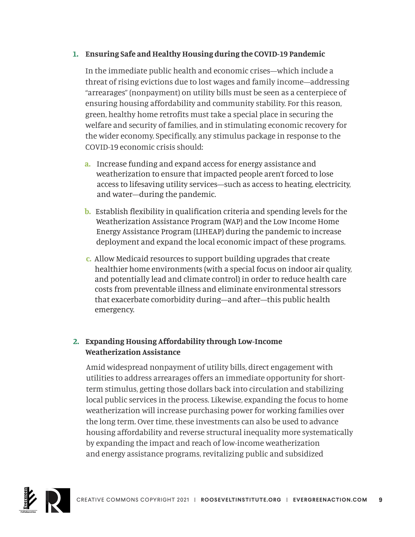#### **1. Ensuring Safe and Healthy Housing during the COVID-19 Pandemic**

In the immediate public health and economic crises—which include a threat of rising evictions due to lost wages and family income—addressing "arrearages" (nonpayment) on utility bills must be seen as a centerpiece of ensuring housing affordability and community stability. For this reason, green, healthy home retrofits must take a special place in securing the welfare and security of families, and in stimulating economic recovery for the wider economy. Specifically, any stimulus package in response to the COVID-19 economic crisis should:

- **a.** Increase funding and expand access for energy assistance and weatherization to ensure that impacted people aren't forced to lose access to lifesaving utility services—such as access to heating, electricity, and water—during the pandemic.
- **b.** Establish flexibility in qualification criteria and spending levels for the Weatherization Assistance Program (WAP) and the Low Income Home Energy Assistance Program (LIHEAP) during the pandemic to increase deployment and expand the local economic impact of these programs.
- **c.** Allow Medicaid resources to support building upgrades that create healthier home environments (with a special focus on indoor air quality, and potentially lead and climate control) in order to reduce health care costs from preventable illness and eliminate environmental stressors that exacerbate comorbidity during—and after—this public health emergency.

#### **2. Expanding Housing Affordability through Low-Income Weatherization Assistance**

Amid widespread nonpayment of utility bills, direct engagement with utilities to address arrearages offers an immediate opportunity for shortterm stimulus, getting those dollars back into circulation and stabilizing local public services in the process. Likewise, expanding the focus to home weatherization will increase purchasing power for working families over the long term. Over time, these investments can also be used to advance housing affordability and reverse structural inequality more systematically by expanding the impact and reach of low-income weatherization and energy assistance programs, revitalizing public and subsidized

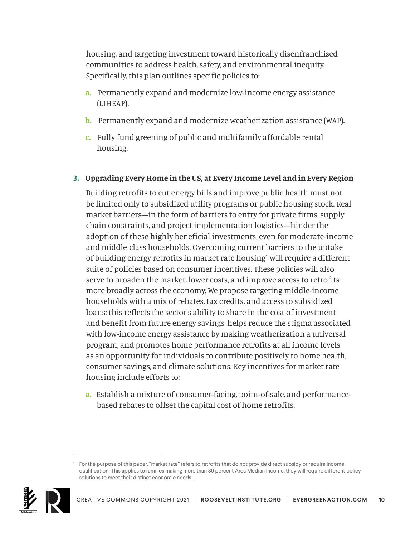housing, and targeting investment toward historically disenfranchised communities to address health, safety, and environmental inequity. Specifically, this plan outlines specific policies to:

- **a.** Permanently expand and modernize low-income energy assistance (LIHEAP).
- **b.** Permanently expand and modernize weatherization assistance (WAP).
- **c.** Fully fund greening of public and multifamily affordable rental housing.
- **3. Upgrading Every Home in the US, at Every Income Level and in Every Region**

Building retrofits to cut energy bills and improve public health must not be limited only to subsidized utility programs or public housing stock. Real market barriers—in the form of barriers to entry for private firms, supply chain constraints, and project implementation logistics—hinder the adoption of these highly beneficial investments, even for moderate-income and middle-class households. Overcoming current barriers to the uptake of building energy retrofits in market rate housing<sup>1</sup> will require a different suite of policies based on consumer incentives. These policies will also serve to broaden the market, lower costs, and improve access to retrofits more broadly across the economy. We propose targeting middle-income households with a mix of rebates, tax credits, and access to subsidized loans; this reflects the sector's ability to share in the cost of investment and benefit from future energy savings, helps reduce the stigma associated with low-income energy assistance by making weatherization a universal program, and promotes home performance retrofits at all income levels as an opportunity for individuals to contribute positively to home health, consumer savings, and climate solutions. Key incentives for market rate housing include efforts to:

 **a.** Establish a mixture of consumer-facing, point-of-sale, and performance based rebates to offset the capital cost of home retrofits.

<sup>1</sup> For the purpose of this paper, "market rate" refers to retrofits that do not provide direct subsidy or require income qualification. This applies to families making more than 80 percent Area Median Income; they will require different policy solutions to meet their distinct economic needs.

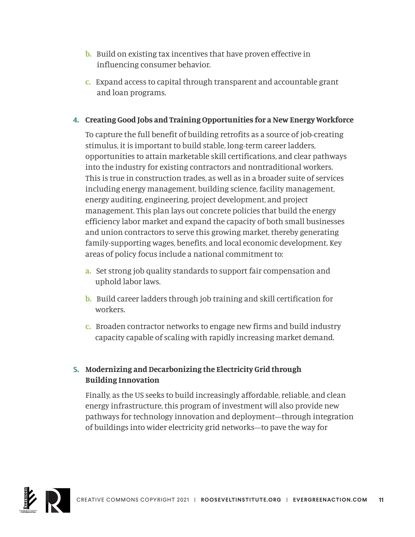- **b.** Build on existing tax incentives that have proven effective in influencing consumer behavior.
- **c.** Expand access to capital through transparent and accountable grant and loan programs.

#### **4. Creating Good Jobs and Training Opportunities for a New Energy Workforce**

To capture the full benefit of building retrofits as a source of job-creating stimulus, it is important to build stable, long-term career ladders, opportunities to attain marketable skill certifications, and clear pathways into the industry for existing contractors and nontraditional workers. This is true in construction trades, as well as in a broader suite of services including energy management, building science, facility management, energy auditing, engineering, project development, and project management. This plan lays out concrete policies that build the energy efficiency labor market and expand the capacity of both small businesses and union contractors to serve this growing market, thereby generating family-supporting wages, benefits, and local economic development. Key areas of policy focus include a national commitment to:

- **a.** Set strong job quality standards to support fair compensation and uphold labor laws.
- **b.** Build career ladders through job training and skill certification for workers.
- **c.** Broaden contractor networks to engage new firms and build industry capacity capable of scaling with rapidly increasing market demand.

#### **5. Modernizing and Decarbonizing the Electricity Grid through Building Innovation**

Finally, as the US seeks to build increasingly affordable, reliable, and clean energy infrastructure, this program of investment will also provide new pathways for technology innovation and deployment—through integration of buildings into wider electricity grid networks—to pave the way for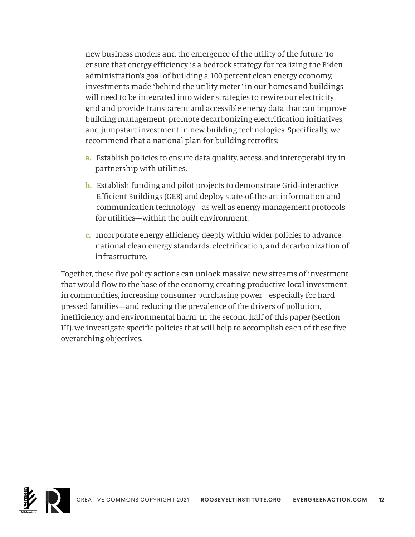new business models and the emergence of the utility of the future. To ensure that energy efficiency is a bedrock strategy for realizing the Biden administration's goal of building a 100 percent clean energy economy, investments made "behind the utility meter" in our homes and buildings will need to be integrated into wider strategies to rewire our electricity grid and provide transparent and accessible energy data that can improve building management, promote decarbonizing electrification initiatives, and jumpstart investment in new building technologies. Specifically, we recommend that a national plan for building retrofits:

- **a.** Establish policies to ensure data quality, access, and interoperability in partnership with utilities.
- **b.** Establish funding and pilot projects to demonstrate Grid-interactive Efficient Buildings (GEB) and deploy state-of-the-art information and communication technology—as well as energy management protocols for utilities—within the built environment.
- **c.** Incorporate energy efficiency deeply within wider policies to advance national clean energy standards, electrification, and decarbonization of infrastructure.

Together, these five policy actions can unlock massive new streams of investment that would flow to the base of the economy, creating productive local investment in communities, increasing consumer purchasing power—especially for hardpressed families—and reducing the prevalence of the drivers of pollution, inefficiency, and environmental harm. In the second half of this paper (Section III), we investigate specific policies that will help to accomplish each of these five overarching objectives.

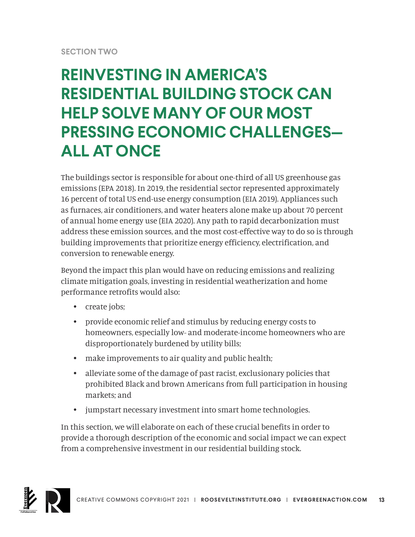#### **SECTION TWO**

## **REINVESTING IN AMERICA'S RESIDENTIAL BUILDING STOCK CAN HELP SOLVE MANY OF OUR MOST PRESSING ECONOMIC CHALLENGES— ALL AT ONCE**

The buildings sector is responsible for about one-third of all US greenhouse gas emissions (EPA 2018). In 2019, the residential sector represented approximately 16 percent of total US end-use energy consumption (EIA 2019). Appliances such as furnaces, air conditioners, and water heaters alone make up about 70 percent of annual home energy use (EIA 2020). Any path to rapid decarbonization must address these emission sources, and the most cost-effective way to do so is through building improvements that prioritize energy efficiency, electrification, and conversion to renewable energy.

Beyond the impact this plan would have on reducing emissions and realizing climate mitigation goals, investing in residential weatherization and home performance retrofits would also:

- create jobs;
- provide economic relief and stimulus by reducing energy costs to homeowners, especially low- and moderate-income homeowners who are disproportionately burdened by utility bills;
- make improvements to air quality and public health;
- alleviate some of the damage of past racist, exclusionary policies that prohibited Black and brown Americans from full participation in housing markets; and
- jumpstart necessary investment into smart home technologies.

In this section, we will elaborate on each of these crucial benefits in order to provide a thorough description of the economic and social impact we can expect from a comprehensive investment in our residential building stock.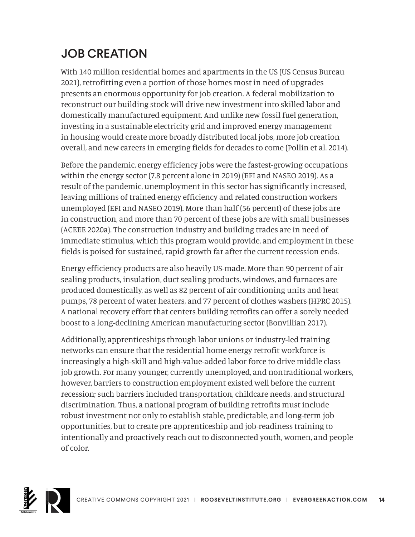### JOB CREATION

With 140 million residential homes and apartments in the US (US Census Bureau 2021), retrofitting even a portion of those homes most in need of upgrades presents an enormous opportunity for job creation. A federal mobilization to reconstruct our building stock will drive new investment into skilled labor and domestically manufactured equipment. And unlike new fossil fuel generation, investing in a sustainable electricity grid and improved energy management in housing would create more broadly distributed local jobs, more job creation overall, and new careers in emerging fields for decades to come (Pollin et al. 2014).

Before the pandemic, energy efficiency jobs were the fastest-growing occupations within the energy sector (7.8 percent alone in 2019) (EFI and NASEO 2019). As a result of the pandemic, unemployment in this sector has significantly increased, leaving millions of trained energy efficiency and related construction workers unemployed (EFI and NASEO 2019). More than half (56 percent) of these jobs are in construction, and more than 70 percent of these jobs are with small businesses (ACEEE 2020a). The construction industry and building trades are in need of immediate stimulus, which this program would provide, and employment in these fields is poised for sustained, rapid growth far after the current recession ends.

Energy efficiency products are also heavily US-made. More than 90 percent of air sealing products, insulation, duct sealing products, windows, and furnaces are produced domestically, as well as 82 percent of air conditioning units and heat pumps, 78 percent of water heaters, and 77 percent of clothes washers (HPRC 2015). A national recovery effort that centers building retrofits can offer a sorely needed boost to a long-declining American manufacturing sector (Bonvillian 2017).

Additionally, apprenticeships through labor unions or industry-led training networks can ensure that the residential home energy retrofit workforce is increasingly a high-skill and high-value-added labor force to drive middle class job growth. For many younger, currently unemployed, and nontraditional workers, however, barriers to construction employment existed well before the current recession; such barriers included transportation, childcare needs, and structural discrimination. Thus, a national program of building retrofits must include robust investment not only to establish stable, predictable, and long-term job opportunities, but to create pre-apprenticeship and job-readiness training to intentionally and proactively reach out to disconnected youth, women, and people of color.

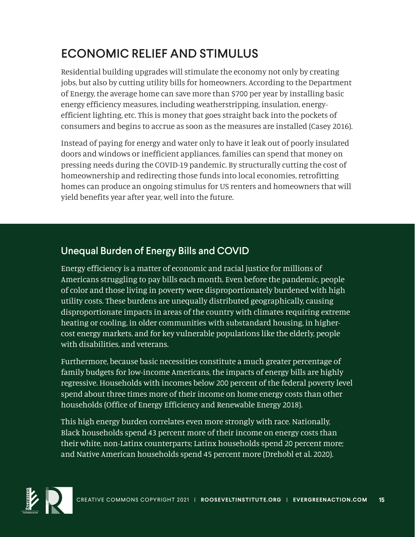### ECONOMIC RELIEF AND STIMULUS

Residential building upgrades will stimulate the economy not only by creating jobs, but also by cutting utility bills for homeowners. According to the Department of Energy, the average home can save more than \$700 per year by installing basic energy efficiency measures, including weatherstripping, insulation, energyefficient lighting, etc. This is money that goes straight back into the pockets of consumers and begins to accrue as soon as the measures are installed (Casey 2016).

Instead of paying for energy and water only to have it leak out of poorly insulated doors and windows or inefficient appliances, families can spend that money on pressing needs during the COVID-19 pandemic. By structurally cutting the cost of homeownership and redirecting those funds into local economies, retrofitting homes can produce an ongoing stimulus for US renters and homeowners that will yield benefits year after year, well into the future.

### Unequal Burden of Energy Bills and COVID

Energy efficiency is a matter of economic and racial justice for millions of Americans struggling to pay bills each month. Even before the pandemic, people of color and those living in poverty were disproportionately burdened with high utility costs. These burdens are unequally distributed geographically, causing disproportionate impacts in areas of the country with climates requiring extreme heating or cooling, in older communities with substandard housing, in highercost energy markets, and for key vulnerable populations like the elderly, people with disabilities, and veterans.

Furthermore, because basic necessities constitute a much greater percentage of family budgets for low-income Americans, the impacts of energy bills are highly regressive. Households with incomes below 200 percent of the federal poverty level spend about three times more of their income on home energy costs than other households (Office of Energy Efficiency and Renewable Energy 2018).

This high energy burden correlates even more strongly with race. Nationally, Black households spend 43 percent more of their income on energy costs than their white, non-Latinx counterparts; Latinx households spend 20 percent more; and Native American households spend 45 percent more (Drehobl et al. 2020).

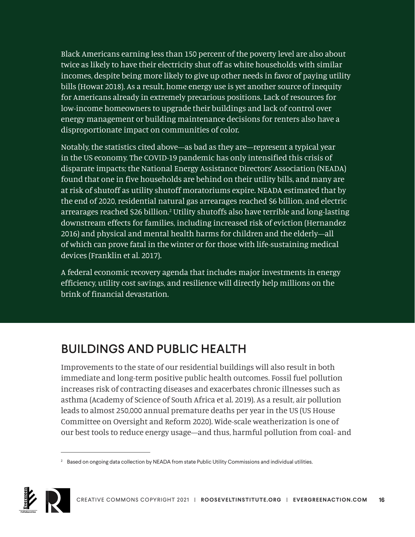Black Americans earning less than 150 percent of the poverty level are also about twice as likely to have their electricity shut off as white households with similar incomes, despite being more likely to give up other needs in favor of paying utility bills (Howat 2018). As a result, home energy use is yet another source of inequity for Americans already in extremely precarious positions. Lack of resources for low-income homeowners to upgrade their buildings and lack of control over energy management or building maintenance decisions for renters also have a disproportionate impact on communities of color.

Notably, the statistics cited above—as bad as they are—represent a typical year in the US economy. The COVID-19 pandemic has only intensified this crisis of disparate impacts; the National Energy Assistance Directors' Association (NEADA) found that one in five households are behind on their utility bills, and many are at risk of shutoff as utility shutoff moratoriums expire. NEADA estimated that by the end of 2020, residential natural gas arrearages reached \$6 billion, and electric arrearages reached \$26 billion.<sup>2</sup> Utility shutoffs also have terrible and long-lasting downstream effects for families, including increased risk of eviction (Hernandez 2016) and physical and mental health harms for children and the elderly—all of which can prove fatal in the winter or for those with life-sustaining medical devices (Franklin et al. 2017).

A federal economic recovery agenda that includes major investments in energy efficiency, utility cost savings, and resilience will directly help millions on the brink of financial devastation.

### BUILDINGS AND PUBLIC HEALTH

Improvements to the state of our residential buildings will also result in both immediate and long-term positive public health outcomes. Fossil fuel pollution increases risk of contracting diseases and exacerbates chronic illnesses such as asthma (Academy of Science of South Africa et al. 2019). As a result, air pollution leads to almost 250,000 annual premature deaths per year in the US (US House Committee on Oversight and Reform 2020). Wide-scale weatherization is one of our best tools to reduce energy usage—and thus, harmful pollution from coal- and

<sup>&</sup>lt;sup>2</sup> Based on ongoing data collection by NEADA from state Public Utility Commissions and individual utilities.

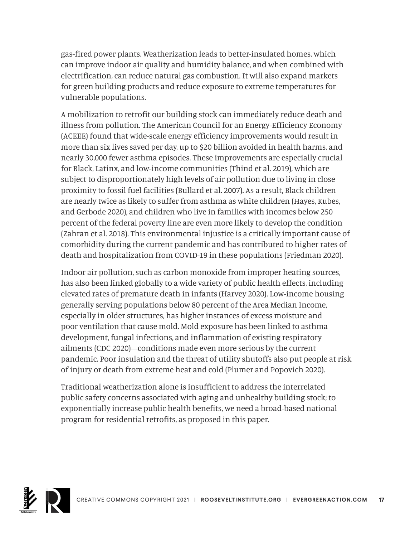gas-fired power plants. Weatherization leads to better-insulated homes, which can improve indoor air quality and humidity balance, and when combined with electrification, can reduce natural gas combustion. It will also expand markets for green building products and reduce exposure to extreme temperatures for vulnerable populations.

A mobilization to retrofit our building stock can immediately reduce death and illness from pollution. The American Council for an Energy-Efficiency Economy (ACEEE) found that wide-scale energy efficiency improvements would result in more than six lives saved per day, up to \$20 billion avoided in health harms, and nearly 30,000 fewer asthma episodes. These improvements are especially crucial for Black, Latinx, and low-income communities (Thind et al. 2019), which are subject to disproportionately high levels of air pollution due to living in close proximity to fossil fuel facilities (Bullard et al. 2007). As a result, Black children are nearly twice as likely to suffer from asthma as white children (Hayes, Kubes, and Gerbode 2020), and children who live in families with incomes below 250 percent of the federal poverty line are even more likely to develop the condition (Zahran et al. 2018). This environmental injustice is a critically important cause of comorbidity during the current pandemic and has contributed to higher rates of death and hospitalization from COVID-19 in these populations (Friedman 2020).

Indoor air pollution, such as carbon monoxide from improper heating sources, has also been linked globally to a wide variety of public health effects, including elevated rates of premature death in infants (Harvey 2020). Low-income housing generally serving populations below 80 percent of the Area Median Income, especially in older structures, has higher instances of excess moisture and poor ventilation that cause mold. Mold exposure has been linked to asthma development, fungal infections, and inflammation of existing respiratory ailments (CDC 2020)—conditions made even more serious by the current pandemic. Poor insulation and the threat of utility shutoffs also put people at risk of injury or death from extreme heat and cold (Plumer and Popovich 2020).

Traditional weatherization alone is insufficient to address the interrelated public safety concerns associated with aging and unhealthy building stock; to exponentially increase public health benefits, we need a broad-based national program for residential retrofits, as proposed in this paper.

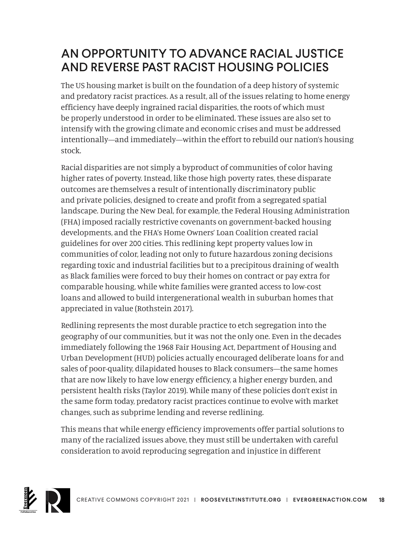### AN OPPORTUNITY TO ADVANCE RACIAL JUSTICE AND REVERSE PAST RACIST HOUSING POLICIES

The US housing market is built on the foundation of a deep history of systemic and predatory racist practices. As a result, all of the issues relating to home energy efficiency have deeply ingrained racial disparities, the roots of which must be properly understood in order to be eliminated. These issues are also set to intensify with the growing climate and economic crises and must be addressed intentionally—and immediately—within the effort to rebuild our nation's housing stock.

Racial disparities are not simply a byproduct of communities of color having higher rates of poverty. Instead, like those high poverty rates, these disparate outcomes are themselves a result of intentionally discriminatory public and private policies, designed to create and profit from a segregated spatial landscape. During the New Deal, for example, the Federal Housing Administration (FHA) imposed racially restrictive covenants on government-backed housing developments, and the FHA's Home Owners' Loan Coalition created racial guidelines for over 200 cities. This redlining kept property values low in communities of color, leading not only to future hazardous zoning decisions regarding toxic and industrial facilities but to a precipitous draining of wealth as Black families were forced to buy their homes on contract or pay extra for comparable housing, while white families were granted access to low-cost loans and allowed to build intergenerational wealth in suburban homes that appreciated in value (Rothstein 2017).

Redlining represents the most durable practice to etch segregation into the geography of our communities, but it was not the only one. Even in the decades immediately following the 1968 Fair Housing Act, Department of Housing and Urban Development (HUD) policies actually encouraged deliberate loans for and sales of poor-quality, dilapidated houses to Black consumers—the same homes that are now likely to have low energy efficiency, a higher energy burden, and persistent health risks (Taylor 2019). While many of these policies don't exist in the same form today, predatory racist practices continue to evolve with market changes, such as subprime lending and reverse redlining.

This means that while energy efficiency improvements offer partial solutions to many of the racialized issues above, they must still be undertaken with careful consideration to avoid reproducing segregation and injustice in different

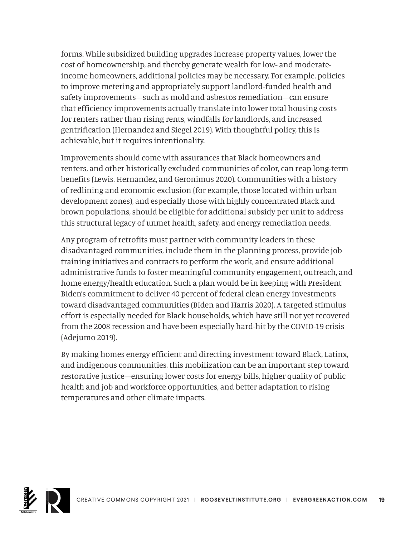forms. While subsidized building upgrades increase property values, lower the cost of homeownership, and thereby generate wealth for low- and moderateincome homeowners, additional policies may be necessary. For example, policies to improve metering and appropriately support landlord-funded health and safety improvements—such as mold and asbestos remediation—can ensure that efficiency improvements actually translate into lower total housing costs for renters rather than rising rents, windfalls for landlords, and increased gentrification (Hernandez and Siegel 2019). With thoughtful policy, this is achievable, but it requires intentionality.

Improvements should come with assurances that Black homeowners and renters, and other historically excluded communities of color, can reap long-term benefits (Lewis, Hernandez, and Geronimus 2020). Communities with a history of redlining and economic exclusion (for example, those located within urban development zones), and especially those with highly concentrated Black and brown populations, should be eligible for additional subsidy per unit to address this structural legacy of unmet health, safety, and energy remediation needs.

Any program of retrofits must partner with community leaders in these disadvantaged communities, include them in the planning process, provide job training initiatives and contracts to perform the work, and ensure additional administrative funds to foster meaningful community engagement, outreach, and home energy/health education. Such a plan would be in keeping with President Biden's commitment to deliver 40 percent of federal clean energy investments toward disadvantaged communities (Biden and Harris 2020). A targeted stimulus effort is especially needed for Black households, which have still not yet recovered from the 2008 recession and have been especially hard-hit by the COVID-19 crisis (Adejumo 2019).

By making homes energy efficient and directing investment toward Black, Latinx, and indigenous communities, this mobilization can be an important step toward restorative justice—ensuring lower costs for energy bills, higher quality of public health and job and workforce opportunities, and better adaptation to rising temperatures and other climate impacts.

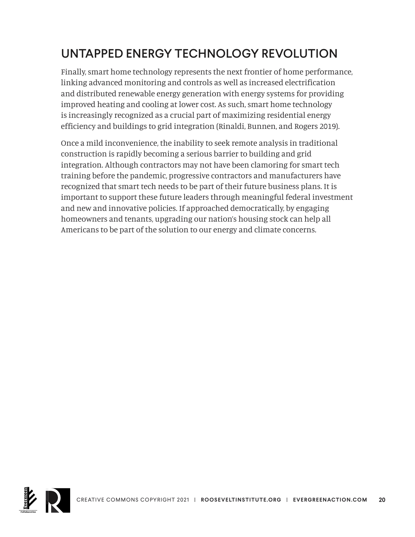### UNTAPPED ENERGY TECHNOLOGY REVOLUTION

Finally, smart home technology represents the next frontier of home performance, linking advanced monitoring and controls as well as increased electrification and distributed renewable energy generation with energy systems for providing improved heating and cooling at lower cost. As such, smart home technology is increasingly recognized as a crucial part of maximizing residential energy efficiency and buildings to grid integration (Rinaldi, Bunnen, and Rogers 2019).

Once a mild inconvenience, the inability to seek remote analysis in traditional construction is rapidly becoming a serious barrier to building and grid integration. Although contractors may not have been clamoring for smart tech training before the pandemic, progressive contractors and manufacturers have recognized that smart tech needs to be part of their future business plans. It is important to support these future leaders through meaningful federal investment and new and innovative policies. If approached democratically, by engaging homeowners and tenants, upgrading our nation's housing stock can help all Americans to be part of the solution to our energy and climate concerns.

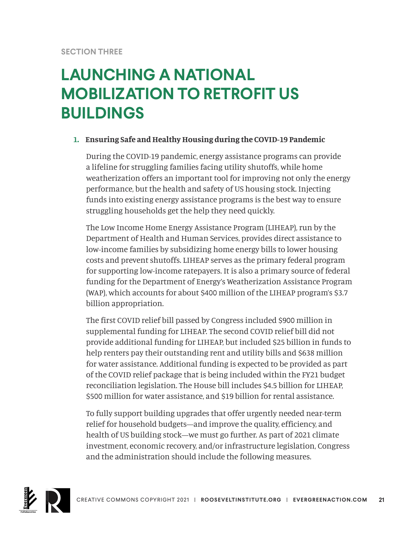## **LAUNCHING A NATIONAL MOBILIZATION TO RETROFIT US BUILDINGS**

#### **1. Ensuring Safe and Healthy Housing during the COVID-19 Pandemic**

During the COVID-19 pandemic, energy assistance programs can provide a lifeline for struggling families facing utility shutoffs, while home weatherization offers an important tool for improving not only the energy performance, but the health and safety of US housing stock. Injecting funds into existing energy assistance programs is the best way to ensure struggling households get the help they need quickly.

The Low Income Home Energy Assistance Program (LIHEAP), run by the Department of Health and Human Services, provides direct assistance to low-income families by subsidizing home energy bills to lower housing costs and prevent shutoffs. LIHEAP serves as the primary federal program for supporting low-income ratepayers. It is also a primary source of federal funding for the Department of Energy's Weatherization Assistance Program (WAP), which accounts for about \$400 million of the LIHEAP program's \$3.7 billion appropriation.

The first COVID relief bill passed by Congress included \$900 million in supplemental funding for LIHEAP. The second COVID relief bill did not provide additional funding for LIHEAP, but included \$25 billion in funds to help renters pay their outstanding rent and utility bills and \$638 million for water assistance. Additional funding is expected to be provided as part of the COVID relief package that is being included within the FY21 budget reconciliation legislation. The House bill includes \$4.5 billion for LIHEAP, \$500 million for water assistance, and \$19 billion for rental assistance.

To fully support building upgrades that offer urgently needed near-term relief for household budgets—and improve the quality, efficiency, and health of US building stock—we must go further. As part of 2021 climate investment, economic recovery, and/or infrastructure legislation, Congress and the administration should include the following measures.

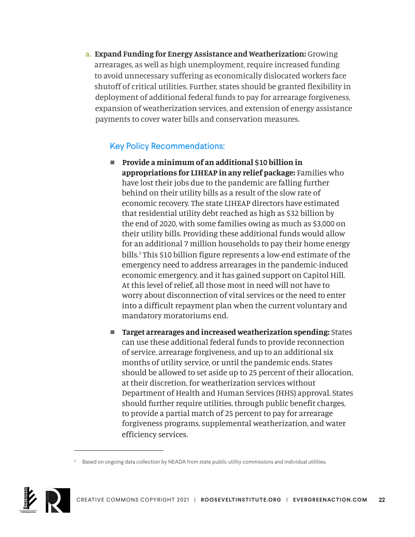**a. Expand Funding for Energy Assistance and Weatherization:** Growing arrearages, as well as high unemployment, require increased funding to avoid unnecessary suffering as economically dislocated workers face shutoff of critical utilities. Further, states should be granted flexibility in deployment of additional federal funds to pay for arrearage forgiveness, expansion of weatherization services, and extension of energy assistance payments to cover water bills and conservation measures.

- Provide a minimum of an additional \$10 billion in **appropriations for LIHEAP in any relief package:** Families who have lost their jobs due to the pandemic are falling further behind on their utility bills as a result of the slow rate of economic recovery. The state LIHEAP directors have estimated that residential utility debt reached as high as \$32 billion by the end of 2020, with some families owing as much as \$3,000 on their utility bills. Providing these additional funds would allow for an additional 7 million households to pay their home energy bills.3 This \$10 billion figure represents a low-end estimate of the emergency need to address arrearages in the pandemic-induced economic emergency, and it has gained support on Capitol Hill. At this level of relief, all those most in need will not have to worry about disconnection of vital services or the need to enter into a difficult repayment plan when the current voluntary and mandatory moratoriums end.
- **Target arrearages and increased weatherization spending:** States can use these additional federal funds to provide reconnection of service, arrearage forgiveness, and up to an additional six months of utility service, or until the pandemic ends. States should be allowed to set aside up to 25 percent of their allocation, at their discretion, for weatherization services without Department of Health and Human Services (HHS) approval. States should further require utilities, through public benefit charges, to provide a partial match of 25 percent to pay for arrearage forgiveness programs, supplemental weatherization, and water efficiency services.

<sup>&</sup>lt;sup>3</sup> Based on ongoing data collection by NEADA from state public utility commissions and individual utilities.

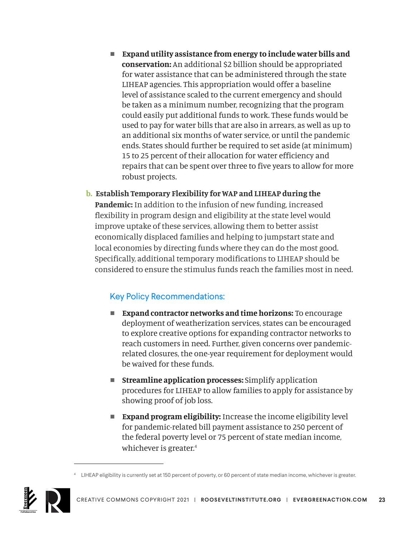- Expand utility assistance from energy to include water bills and **conservation:** An additional \$2 billion should be appropriated for water assistance that can be administered through the state LIHEAP agencies. This appropriation would offer a baseline level of assistance scaled to the current emergency and should be taken as a minimum number, recognizing that the program could easily put additional funds to work. These funds would be used to pay for water bills that are also in arrears, as well as up to an additional six months of water service, or until the pandemic ends. States should further be required to set aside (at minimum) 15 to 25 percent of their allocation for water efficiency and repairs that can be spent over three to five years to allow for more robust projects.
- **b. Establish Temporary Flexibility for WAP and LIHEAP during the Pandemic:** In addition to the infusion of new funding, increased flexibility in program design and eligibility at the state level would improve uptake of these services, allowing them to better assist economically displaced families and helping to jumpstart state and local economies by directing funds where they can do the most good. Specifically, additional temporary modifications to LIHEAP should be considered to ensure the stimulus funds reach the families most in need.

- **Expand contractor networks and time horizons:** To encourage deployment of weatherization services, states can be encouraged to explore creative options for expanding contractor networks to reach customers in need. Further, given concerns over pandemicrelated closures, the one-year requirement for deployment would be waived for these funds.
- **n** Streamline application processes: Simplify application procedures for LIHEAP to allow families to apply for assistance by showing proof of job loss.
- **Expand program eligibility:** Increase the income eligibility level for pandemic-related bill payment assistance to 250 percent of the federal poverty level or 75 percent of state median income, whichever is greater.<sup>4</sup>

<sup>4</sup> LIHEAP eligibility is currently set at 150 percent of poverty, or 60 percent of state median income, whichever is greater.

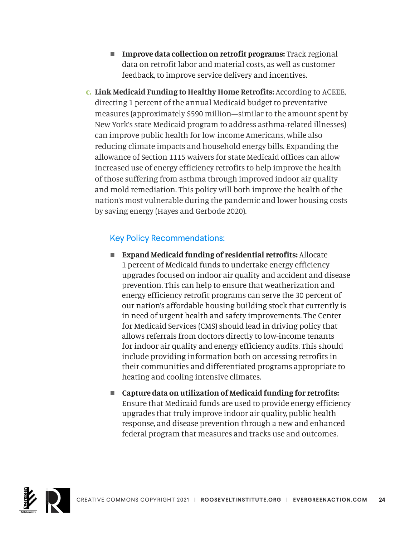- **n** Improve data collection on retrofit programs: Track regional data on retrofit labor and material costs, as well as customer feedback, to improve service delivery and incentives.
- **c. Link Medicaid Funding to Healthy Home Retrofits:** According to ACEEE, directing 1 percent of the annual Medicaid budget to preventative measures (approximately \$590 million—similar to the amount spent by New York's state Medicaid program to address asthma-related illnesses) can improve public health for low-income Americans, while also reducing climate impacts and household energy bills. Expanding the allowance of Section 1115 waivers for state Medicaid offices can allow increased use of energy efficiency retrofits to help improve the health of those suffering from asthma through improved indoor air quality and mold remediation. This policy will both improve the health of the nation's most vulnerable during the pandemic and lower housing costs by saving energy (Hayes and Gerbode 2020).

- **Expand Medicaid funding of residential retrofits:** Allocate 1 percent of Medicaid funds to undertake energy efficiency upgrades focused on indoor air quality and accident and disease prevention. This can help to ensure that weatherization and energy efficiency retrofit programs can serve the 30 percent of our nation's affordable housing building stock that currently is in need of urgent health and safety improvements. The Center for Medicaid Services (CMS) should lead in driving policy that allows referrals from doctors directly to low-income tenants for indoor air quality and energy efficiency audits. This should include providing information both on accessing retrofits in their communities and differentiated programs appropriate to heating and cooling intensive climates.
- Capture data on utilization of Medicaid funding for retrofits: Ensure that Medicaid funds are used to provide energy efficiency upgrades that truly improve indoor air quality, public health response, and disease prevention through a new and enhanced federal program that measures and tracks use and outcomes.

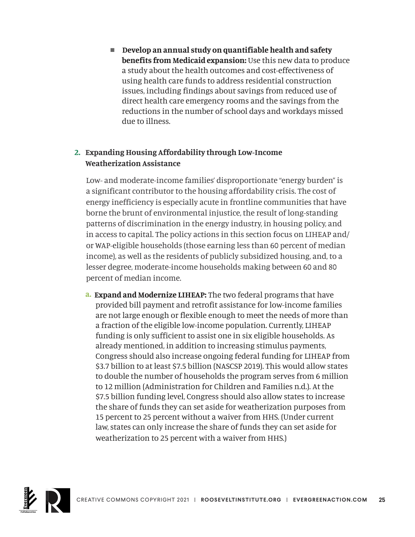■ Develop an annual study on quantifiable health and safety **benefits from Medicaid expansion:** Use this new data to produce a study about the health outcomes and cost-effectiveness of using health care funds to address residential construction issues, including findings about savings from reduced use of direct health care emergency rooms and the savings from the reductions in the number of school days and workdays missed due to illness.

#### **2. Expanding Housing Affordability through Low-Income Weatherization Assistance**

Low- and moderate-income families' disproportionate "energy burden" is a significant contributor to the housing affordability crisis. The cost of energy inefficiency is especially acute in frontline communities that have borne the brunt of environmental injustice, the result of long-standing patterns of discrimination in the energy industry, in housing policy, and in access to capital. The policy actions in this section focus on LIHEAP and/ or WAP-eligible households (those earning less than 60 percent of median income), as well as the residents of publicly subsidized housing, and, to a lesser degree, moderate-income households making between 60 and 80 percent of median income.

 **a. Expand and Modernize LIHEAP:** The two federal programs that have provided bill payment and retrofit assistance for low-income families are not large enough or flexible enough to meet the needs of more than a fraction of the eligible low-income population. Currently, LIHEAP funding is only sufficient to assist one in six eligible households. As already mentioned, in addition to increasing stimulus payments, Congress should also increase ongoing federal funding for LIHEAP from \$3.7 billion to at least \$7.5 billion (NASCSP 2019). This would allow states to double the number of households the program serves from 6 million to 12 million (Administration for Children and Families n.d.). At the \$7.5 billion funding level, Congress should also allow states to increase the share of funds they can set aside for weatherization purposes from 15 percent to 25 percent without a waiver from HHS. (Under current law, states can only increase the share of funds they can set aside for weatherization to 25 percent with a waiver from HHS.)

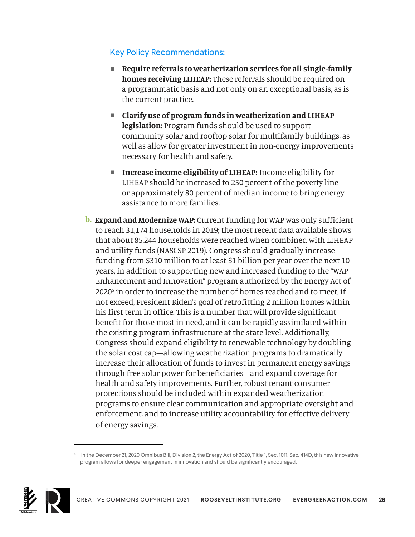- Require referrals to weatherization services for all single-family **homes receiving LIHEAP:** These referrals should be required on a programmatic basis and not only on an exceptional basis, as is the current practice.
- <sup>n</sup>**Clarify use of program funds in weatherization and LIHEAP legislation:** Program funds should be used to support community solar and rooftop solar for multifamily buildings, as well as allow for greater investment in non-energy improvements necessary for health and safety.
- **Increase income eligibility of LIHEAP:** Income eligibility for LIHEAP should be increased to 250 percent of the poverty line or approximately 80 percent of median income to bring energy assistance to more families.
- **b. Expand and Modernize WAP:** Current funding for WAP was only sufficient to reach 31,174 households in 2019; the most recent data available shows that about 85,244 households were reached when combined with LIHEAP and utility funds (NASCSP 2019). Congress should gradually increase funding from \$310 million to at least \$1 billion per year over the next 10 years, in addition to supporting new and increased funding to the "WAP Enhancement and Innovation" program authorized by the Energy Act of 2020<sup>5</sup> in order to increase the number of homes reached and to meet, if not exceed, President Biden's goal of retrofitting 2 million homes within his first term in office. This is a number that will provide significant benefit for those most in need, and it can be rapidly assimilated within the existing program infrastructure at the state level. Additionally, Congress should expand eligibility to renewable technology by doubling the solar cost cap—allowing weatherization programs to dramatically increase their allocation of funds to invest in permanent energy savings through free solar power for beneficiaries—and expand coverage for health and safety improvements. Further, robust tenant consumer protections should be included within expanded weatherization programs to ensure clear communication and appropriate oversight and enforcement, and to increase utility accountability for effective delivery of energy savings.

<sup>5</sup> In the December 21, 2020 Omnibus Bill, Division 2, the Energy Act of 2020, Title 1, Sec. 1011, Sec. 414D, this new innovative program allows for deeper engagement in innovation and should be significantly encouraged.

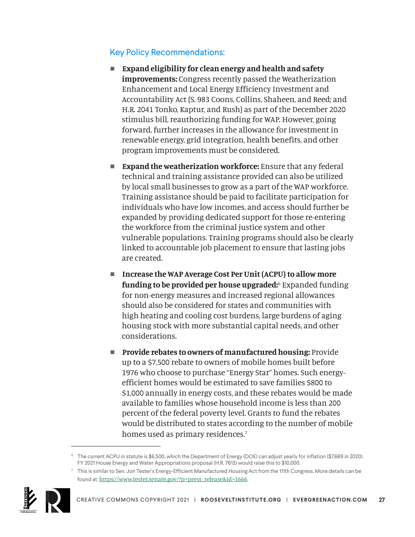- Expand eligibility for clean energy and health and safety **improvements:** Congress recently passed the Weatherization Enhancement and Local Energy Efficiency Investment and Accountability Act (S. 983 Coons, Collins, Shaheen, and Reed; and H.R. 2041 Tonko, Kaptur, and Rush) as part of the December 2020 stimulus bill, reauthorizing funding for WAP. However, going forward, further increases in the allowance for investment in renewable energy, grid integration, health benefits, and other program improvements must be considered.
- **Expand the weatherization workforce:** Ensure that any federal technical and training assistance provided can also be utilized by local small businesses to grow as a part of the WAP workforce. Training assistance should be paid to facilitate participation for individuals who have low incomes, and access should further be expanded by providing dedicated support for those re-entering the workforce from the criminal justice system and other vulnerable populations. Training programs should also be clearly linked to accountable job placement to ensure that lasting jobs are created.
- Increase the WAP Average Cost Per Unit (ACPU) to allow more **funding to be provided per house upgraded:**<sup>6</sup> Expanded funding for non-energy measures and increased regional allowances should also be considered for states and communities with high heating and cooling cost burdens, large burdens of aging housing stock with more substantial capital needs, and other considerations.
- **Provide rebates to owners of manufactured housing: Provide** up to a \$7,500 rebate to owners of mobile homes built before 1976 who choose to purchase "Energy Star" homes. Such energyefficient homes would be estimated to save families \$800 to \$1,000 annually in energy costs, and these rebates would be made available to families whose household income is less than 200 percent of the federal poverty level. Grants to fund the rebates would be distributed to states according to the number of mobile homes used as primary residences.<sup>7</sup>

 $\frac{7}{10}$  This is similar to Sen. Jon Tester's Energy-Efficient Manufactured Housing Act from the 111th Congress. More details can be found at: [https://www.tester.senate.gov/?p=press\\_release&id=1666](https://www.tester.senate.gov/?p=press_release&id=1666).



<sup>&</sup>lt;sup>6</sup> The current ACPU in statute is \$6,500, which the Department of Energy (DOE) can adjust yearly for inflation (\$7,669 in 2020). FY 2021 House Energy and Water Appropriations proposal (H.R. 7613) would raise this to \$10,000.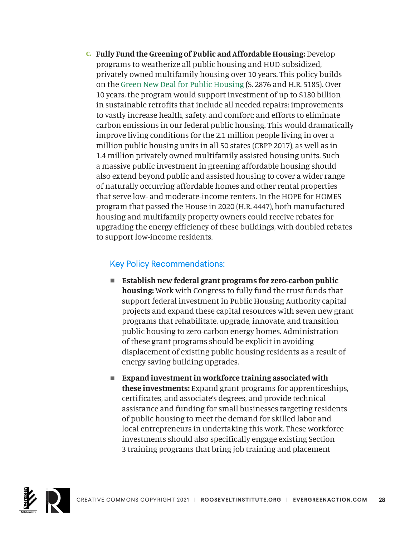**c. Fully Fund the Greening of Public and Affordable Housing:** Develop programs to weatherize all public housing and HUD-subsidized, privately owned multifamily housing over 10 years. This policy builds on the [Green New Deal for Public Housing](https://www.sanders.senate.gov/press-releases/sanders-and-ocasio-cortez-announce-the-green-new-deal-for-public-housing-act/) (S. 2876 and H.R. 5185). Over 10 years, the program would support investment of up to \$180 billion in sustainable retrofits that include all needed repairs; improvements to vastly increase health, safety, and comfort; and efforts to eliminate carbon emissions in our federal public housing. This would dramatically improve living conditions for the 2.1 million people living in over a million public housing units in all 50 states (CBPP 2017), as well as in 1.4 million privately owned multifamily assisted housing units. Such a massive public investment in greening affordable housing should also extend beyond public and assisted housing to cover a wider range of naturally occurring affordable homes and other rental properties that serve low- and moderate-income renters. In the HOPE for HOMES program that passed the House in 2020 (H.R. 4447), both manufactured housing and multifamily property owners could receive rebates for upgrading the energy efficiency of these buildings, with doubled rebates to support low-income residents.

- Establish new federal grant programs for zero-carbon public **housing:** Work with Congress to fully fund the trust funds that support federal investment in Public Housing Authority capital projects and expand these capital resources with seven new grant programs that rehabilitate, upgrade, innovate, and transition public housing to zero-carbon energy homes. Administration of these grant programs should be explicit in avoiding displacement of existing public housing residents as a result of energy saving building upgrades.
- Expand investment in workforce training associated with **these investments:** Expand grant programs for apprenticeships, certificates, and associate's degrees, and provide technical assistance and funding for small businesses targeting residents of public housing to meet the demand for skilled labor and local entrepreneurs in undertaking this work. These workforce investments should also specifically engage existing Section 3 training programs that bring job training and placement

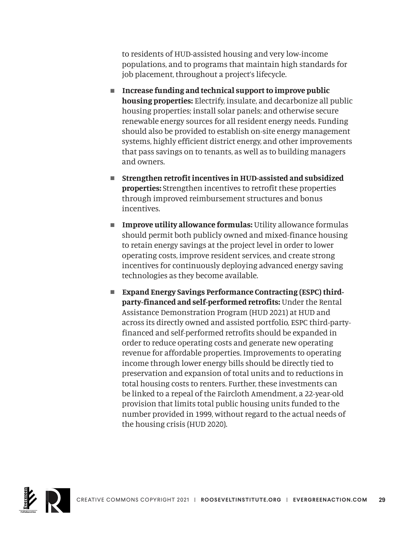to residents of HUD-assisted housing and very low-income populations, and to programs that maintain high standards for job placement, throughout a project's lifecycle.

- Increase funding and technical support to improve public **housing properties:** Electrify, insulate, and decarbonize all public housing properties; install solar panels; and otherwise secure renewable energy sources for all resident energy needs. Funding should also be provided to establish on-site energy management systems, highly efficient district energy, and other improvements that pass savings on to tenants, as well as to building managers and owners.
- Strengthen retrofit incentives in HUD-assisted and subsidized **properties:** Strengthen incentives to retrofit these properties through improved reimbursement structures and bonus incentives.
- **n** Improve utility allowance formulas: Utility allowance formulas should permit both publicly owned and mixed-finance housing to retain energy savings at the project level in order to lower operating costs, improve resident services, and create strong incentives for continuously deploying advanced energy saving technologies as they become available.
- **Expand Energy Savings Performance Contracting (ESPC) thirdparty-financed and self-performed retrofits:** Under the Rental Assistance Demonstration Program (HUD 2021) at HUD and across its directly owned and assisted portfolio, ESPC third-partyfinanced and self-performed retrofits should be expanded in order to reduce operating costs and generate new operating revenue for affordable properties. Improvements to operating income through lower energy bills should be directly tied to preservation and expansion of total units and to reductions in total housing costs to renters. Further, these investments can be linked to a repeal of the Faircloth Amendment, a 22-year-old provision that limits total public housing units funded to the number provided in 1999, without regard to the actual needs of the housing crisis (HUD 2020).

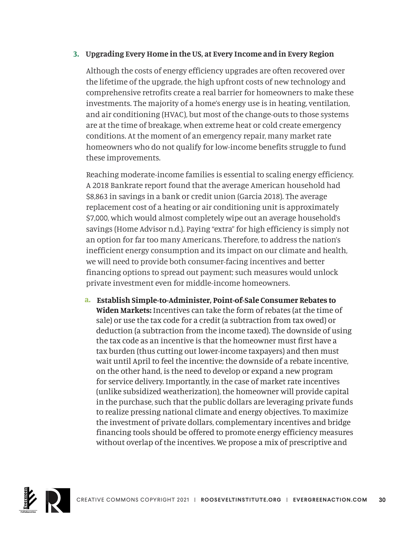#### **3. Upgrading Every Home in the US, at Every Income and in Every Region**

Although the costs of energy efficiency upgrades are often recovered over the lifetime of the upgrade, the high upfront costs of new technology and comprehensive retrofits create a real barrier for homeowners to make these investments. The majority of a home's energy use is in heating, ventilation, and air conditioning (HVAC), but most of the change-outs to those systems are at the time of breakage, when extreme heat or cold create emergency conditions. At the moment of an emergency repair, many market rate homeowners who do not qualify for low-income benefits struggle to fund these improvements.

Reaching moderate-income families is essential to scaling energy efficiency. A 2018 Bankrate report found that the average American household had \$8,863 in savings in a bank or credit union (Garcia 2018). The average replacement cost of a heating or air conditioning unit is approximately \$7,000, which would almost completely wipe out an average household's savings (Home Advisor n.d.). Paying "extra" for high efficiency is simply not an option for far too many Americans. Therefore, to address the nation's inefficient energy consumption and its impact on our climate and health, we will need to provide both consumer-facing incentives and better financing options to spread out payment; such measures would unlock private investment even for middle-income homeowners.

**a. Establish Simple-to-Administer, Point-of-Sale Consumer Rebates to Widen Markets:** Incentives can take the form of rebates (at the time of sale) or use the tax code for a credit (a subtraction from tax owed) or deduction (a subtraction from the income taxed). The downside of using the tax code as an incentive is that the homeowner must first have a tax burden (thus cutting out lower-income taxpayers) and then must wait until April to feel the incentive; the downside of a rebate incentive, on the other hand, is the need to develop or expand a new program for service delivery. Importantly, in the case of market rate incentives (unlike subsidized weatherization), the homeowner will provide capital in the purchase, such that the public dollars are leveraging private funds to realize pressing national climate and energy objectives. To maximize the investment of private dollars, complementary incentives and bridge financing tools should be offered to promote energy efficiency measures without overlap of the incentives. We propose a mix of prescriptive and

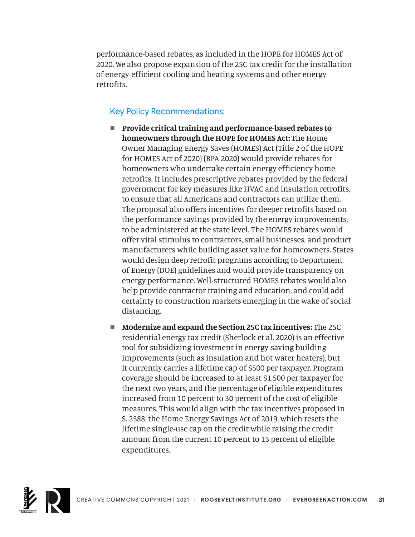performance-based rebates, as included in the HOPE for HOMES Act of 2020. We also propose expansion of the 25C tax credit for the installation of energy-efficient cooling and heating systems and other energy retrofits.

- Provide critical training and performance-based rebates to **homeowners through the HOPE for HOMES Act:** The Home Owner Managing Energy Saves (HOMES) Act (Title 2 of the HOPE for HOMES Act of 2020) (BPA 2020) would provide rebates for homeowners who undertake certain energy efficiency home retrofits. It includes prescriptive rebates provided by the federal government for key measures like HVAC and insulation retrofits, to ensure that all Americans and contractors can utilize them. The proposal also offers incentives for deeper retrofits based on the performance savings provided by the energy improvements, to be administered at the state level. The HOMES rebates would offer vital stimulus to contractors, small businesses, and product manufacturers while building asset value for homeowners. States would design deep retrofit programs according to Department of Energy (DOE) guidelines and would provide transparency on energy performance. Well-structured HOMES rebates would also help provide contractor training and education, and could add certainty to construction markets emerging in the wake of social distancing.
- **Modernize and expand the Section 25C tax incentives:** The 25C residential energy tax credit (Sherlock et al. 2020) is an effective tool for subsidizing investment in energy-saving building improvements (such as insulation and hot water heaters), but it currently carries a lifetime cap of \$500 per taxpayer. Program coverage should be increased to at least \$1,500 per taxpayer for the next two years, and the percentage of eligible expenditures increased from 10 percent to 30 percent of the cost of eligible measures. This would align with the tax incentives proposed in S. 2588, the Home Energy Savings Act of 2019, which resets the lifetime single-use cap on the credit while raising the credit amount from the current 10 percent to 15 percent of eligible expenditures.

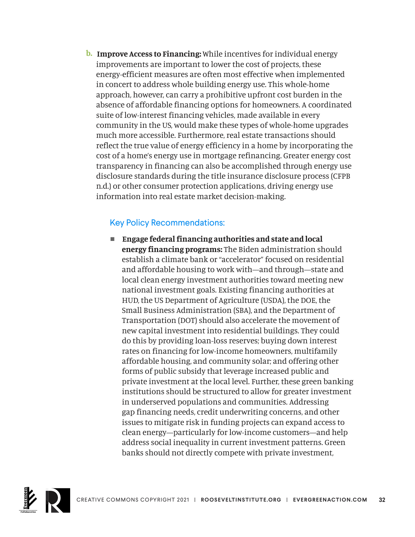**b. Improve Access to Financing:** While incentives for individual energy improvements are important to lower the cost of projects, these energy-efficient measures are often most effective when implemented in concert to address whole building energy use. This whole-home approach, however, can carry a prohibitive upfront cost burden in the absence of affordable financing options for homeowners. A coordinated suite of low-interest financing vehicles, made available in every community in the US, would make these types of whole-home upgrades much more accessible. Furthermore, real estate transactions should reflect the true value of energy efficiency in a home by incorporating the cost of a home's energy use in mortgage refinancing. Greater energy cost transparency in financing can also be accomplished through energy use disclosure standards during the title insurance disclosure process (CFPB n.d.) or other consumer protection applications, driving energy use information into real estate market decision-making.

#### Key Policy Recommendations:

■ Engage federal financing authorities and state and local **energy financing programs:** The Biden administration should establish a climate bank or "accelerator" focused on residential and affordable housing to work with—and through—state and local clean energy investment authorities toward meeting new national investment goals. Existing financing authorities at HUD, the US Department of Agriculture (USDA), the DOE, the Small Business Administration (SBA), and the Department of Transportation (DOT) should also accelerate the movement of new capital investment into residential buildings. They could do this by providing loan-loss reserves; buying down interest rates on financing for low-income homeowners, multifamily affordable housing, and community solar; and offering other forms of public subsidy that leverage increased public and private investment at the local level. Further, these green banking institutions should be structured to allow for greater investment in underserved populations and communities. Addressing gap financing needs, credit underwriting concerns, and other issues to mitigate risk in funding projects can expand access to clean energy—particularly for low-income customers—and help address social inequality in current investment patterns. Green banks should not directly compete with private investment,

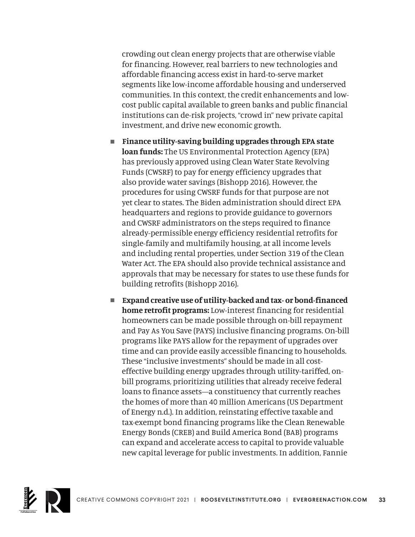crowding out clean energy projects that are otherwise viable for financing. However, real barriers to new technologies and affordable financing access exist in hard-to-serve market segments like low-income affordable housing and underserved communities. In this context, the credit enhancements and lowcost public capital available to green banks and public financial institutions can de-risk projects, "crowd in" new private capital investment, and drive new economic growth.

- Finance utility-saving building upgrades through EPA state **loan funds:** The US Environmental Protection Agency (EPA) has previously approved using Clean Water State Revolving Funds (CWSRF) to pay for energy efficiency upgrades that also provide water savings (Bishopp 2016). However, the procedures for using CWSRF funds for that purpose are not yet clear to states. The Biden administration should direct EPA headquarters and regions to provide guidance to governors and CWSRF administrators on the steps required to finance already-permissible energy efficiency residential retrofits for single-family and multifamily housing, at all income levels and including rental properties, under Section 319 of the Clean Water Act. The EPA should also provide technical assistance and approvals that may be necessary for states to use these funds for building retrofits (Bishopp 2016).
- Expand creative use of utility-backed and tax- or bond-financed **home retrofit programs:** Low-interest financing for residential homeowners can be made possible through on-bill repayment and Pay As You Save (PAYS) inclusive financing programs. On-bill programs like PAYS allow for the repayment of upgrades over time and can provide easily accessible financing to households. These "inclusive investments" should be made in all costeffective building energy upgrades through utility-tariffed, onbill programs, prioritizing utilities that already receive federal loans to finance assets—a constituency that currently reaches the homes of more than 40 million Americans (US Department of Energy n.d.). In addition, reinstating effective taxable and tax-exempt bond financing programs like the Clean Renewable Energy Bonds (CREB) and Build America Bond (BAB) programs can expand and accelerate access to capital to provide valuable new capital leverage for public investments. In addition, Fannie

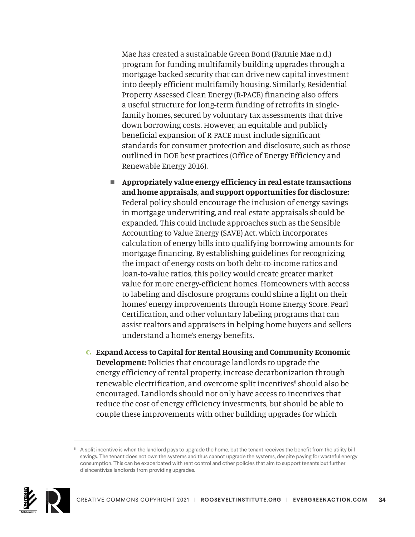Mae has created a sustainable Green Bond (Fannie Mae n.d.) program for funding multifamily building upgrades through a mortgage-backed security that can drive new capital investment into deeply efficient multifamily housing. Similarly, Residential Property Assessed Clean Energy (R-PACE) financing also offers a useful structure for long-term funding of retrofits in singlefamily homes, secured by voluntary tax assessments that drive down borrowing costs. However, an equitable and publicly beneficial expansion of R-PACE must include significant standards for consumer protection and disclosure, such as those outlined in DOE best practices (Office of Energy Efficiency and Renewable Energy 2016).

- <sup>n</sup>**Appropriately value energy efficiency in real estate transactions and home appraisals, and support opportunities for disclosure:**  Federal policy should encourage the inclusion of energy savings in mortgage underwriting, and real estate appraisals should be expanded. This could include approaches such as the Sensible Accounting to Value Energy (SAVE) Act, which incorporates calculation of energy bills into qualifying borrowing amounts for mortgage financing. By establishing guidelines for recognizing the impact of energy costs on both debt-to-income ratios and loan-to-value ratios, this policy would create greater market value for more energy-efficient homes. Homeowners with access to labeling and disclosure programs could shine a light on their homes' energy improvements through Home Energy Score, Pearl Certification, and other voluntary labeling programs that can assist realtors and appraisers in helping home buyers and sellers understand a home's energy benefits.
- **c. Expand Access to Capital for Rental Housing and Community Economic Development:** Policies that encourage landlords to upgrade the energy efficiency of rental property, increase decarbonization through renewable electrification, and overcome split incentives<sup>8</sup> should also be encouraged. Landlords should not only have access to incentives that reduce the cost of energy efficiency investments, but should be able to couple these improvements with other building upgrades for which

<sup>&</sup>lt;sup>8</sup> A split incentive is when the landlord pays to upgrade the home, but the tenant receives the benefit from the utility bill savings. The tenant does not own the systems and thus cannot upgrade the systems, despite paying for wasteful energy consumption. This can be exacerbated with rent control and other policies that aim to support tenants but further disincentivize landlords from providing upgrades.

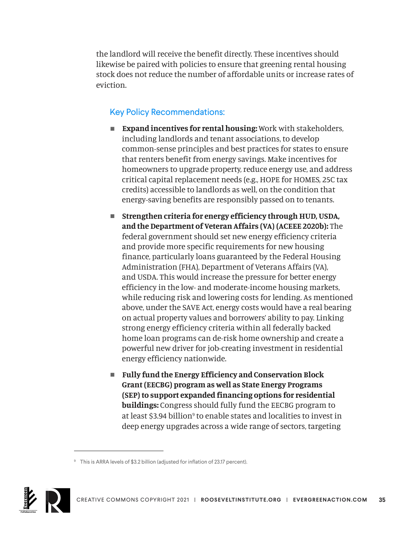the landlord will receive the benefit directly. These incentives should likewise be paired with policies to ensure that greening rental housing stock does not reduce the number of affordable units or increase rates of eviction.

- **Expand incentives for rental housing:** Work with stakeholders, including landlords and tenant associations, to develop common-sense principles and best practices for states to ensure that renters benefit from energy savings. Make incentives for homeowners to upgrade property, reduce energy use, and address critical capital replacement needs (e.g., HOPE for HOMES, 25C tax credits) accessible to landlords as well, on the condition that energy-saving benefits are responsibly passed on to tenants.
- Strengthen criteria for energy efficiency through HUD, USDA, **and the Department of Veteran Affairs (VA) (ACEEE 2020b):** The federal government should set new energy efficiency criteria and provide more specific requirements for new housing finance, particularly loans guaranteed by the Federal Housing Administration (FHA), Department of Veterans Affairs (VA), and USDA. This would increase the pressure for better energy efficiency in the low- and moderate-income housing markets, while reducing risk and lowering costs for lending. As mentioned above, under the SAVE Act, energy costs would have a real bearing on actual property values and borrowers' ability to pay. Linking strong energy efficiency criteria within all federally backed home loan programs can de-risk home ownership and create a powerful new driver for job-creating investment in residential energy efficiency nationwide.
- Fully fund the Energy Efficiency and Conservation Block **Grant (EECBG) program as well as State Energy Programs (SEP) to support expanded financing options for residential buildings:** Congress should fully fund the EECBG program to at least \$3.94 billion<sup>9</sup> to enable states and localities to invest in deep energy upgrades across a wide range of sectors, targeting

<sup>&</sup>lt;sup>9</sup> This is ARRA levels of \$3.2 billion (adjusted for inflation of 23.17 percent).

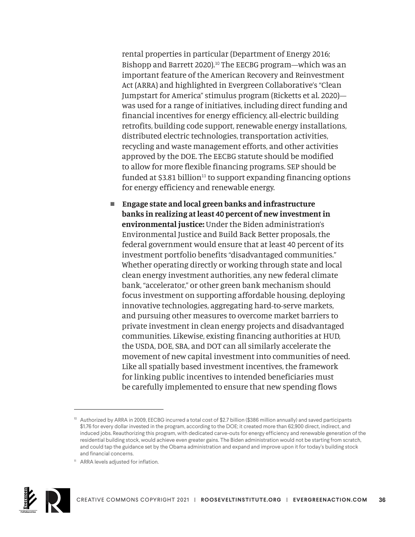rental properties in particular (Department of Energy 2016; Bishopp and Barrett 2020).<sup>10</sup> The EECBG program—which was an important feature of the American Recovery and Reinvestment Act (ARRA) and highlighted in Evergreen Collaborative's "Clean Jumpstart for America" stimulus program (Ricketts et al. 2020) was used for a range of initiatives, including direct funding and financial incentives for energy efficiency, all-electric building retrofits, building code support, renewable energy installations, distributed electric technologies, transportation activities, recycling and waste management efforts, and other activities approved by the DOE. The EECBG statute should be modified to allow for more flexible financing programs. SEP should be funded at \$3.81 billion $11$  to support expanding financing options for energy efficiency and renewable energy.

■ Engage state and local green banks and infrastructure **banks in realizing at least 40 percent of new investment in environmental justice:** Under the Biden administration's Environmental Justice and Build Back Better proposals, the federal government would ensure that at least 40 percent of its investment portfolio benefits "disadvantaged communities." Whether operating directly or working through state and local clean energy investment authorities, any new federal climate bank, "accelerator," or other green bank mechanism should focus investment on supporting affordable housing, deploying innovative technologies, aggregating hard-to-serve markets, and pursuing other measures to overcome market barriers to private investment in clean energy projects and disadvantaged communities. Likewise, existing financing authorities at HUD, the USDA, DOE, SBA, and DOT can all similarly accelerate the movement of new capital investment into communities of need. Like all spatially based investment incentives, the framework for linking public incentives to intended beneficiaries must be carefully implemented to ensure that new spending flows

<sup>11</sup> ARRA levels adjusted for inflation.



<sup>&</sup>lt;sup>10</sup> Authorized by ARRA in 2009, EECBG incurred a total cost of \$2.7 billion (\$386 million annually) and saved participants \$1.76 for every dollar invested in the program, according to the DOE; it created more than 62,900 direct, indirect, and induced jobs. Reauthorizing this program, with dedicated carve-outs for energy efficiency and renewable generation of the residential building stock, would achieve even greater gains. The Biden administration would not be starting from scratch, and could tap the guidance set by the Obama administration and expand and improve upon it for today's building stock and financial concerns.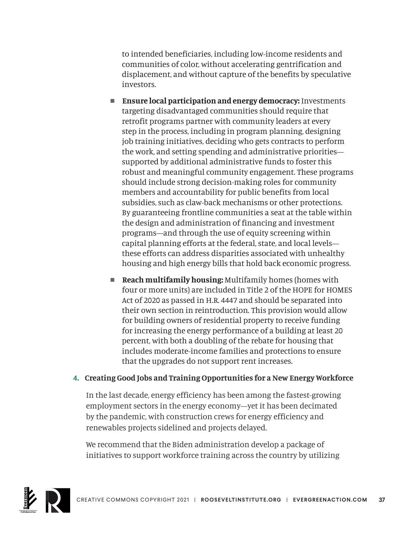to intended beneficiaries, including low-income residents and communities of color, without accelerating gentrification and displacement, and without capture of the benefits by speculative investors.

- **Ensure local participation and energy democracy:** Investments targeting disadvantaged communities should require that retrofit programs partner with community leaders at every step in the process, including in program planning, designing job training initiatives, deciding who gets contracts to perform the work, and setting spending and administrative priorities supported by additional administrative funds to foster this robust and meaningful community engagement. These programs should include strong decision-making roles for community members and accountability for public benefits from local subsidies, such as claw-back mechanisms or other protections. By guaranteeing frontline communities a seat at the table within the design and administration of financing and investment programs—and through the use of equity screening within capital planning efforts at the federal, state, and local levels these efforts can address disparities associated with unhealthy housing and high energy bills that hold back economic progress.
- **Reach multifamily housing:** Multifamily homes (homes with four or more units) are included in Title 2 of the HOPE for HOMES Act of 2020 as passed in H.R. 4447 and should be separated into their own section in reintroduction. This provision would allow for building owners of residential property to receive funding for increasing the energy performance of a building at least 20 percent, with both a doubling of the rebate for housing that includes moderate-income families and protections to ensure that the upgrades do not support rent increases.

#### **4. Creating Good Jobs and Training Opportunities for a New Energy Workforce**

In the last decade, energy efficiency has been among the fastest-growing employment sectors in the energy economy—yet it has been decimated by the pandemic, with construction crews for energy efficiency and renewables projects sidelined and projects delayed.

We recommend that the Biden administration develop a package of initiatives to support workforce training across the country by utilizing

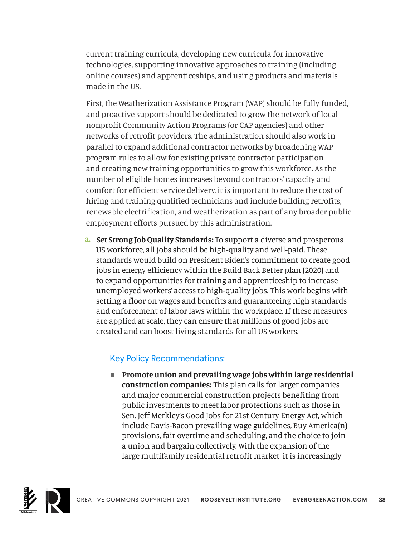current training curricula, developing new curricula for innovative technologies, supporting innovative approaches to training (including online courses) and apprenticeships, and using products and materials made in the US.

First, the Weatherization Assistance Program (WAP) should be fully funded, and proactive support should be dedicated to grow the network of local nonprofit Community Action Programs (or CAP agencies) and other networks of retrofit providers. The administration should also work in parallel to expand additional contractor networks by broadening WAP program rules to allow for existing private contractor participation and creating new training opportunities to grow this workforce. As the number of eligible homes increases beyond contractors' capacity and comfort for efficient service delivery, it is important to reduce the cost of hiring and training qualified technicians and include building retrofits, renewable electrification, and weatherization as part of any broader public employment efforts pursued by this administration.

**a. Set Strong Job Quality Standards:** To support a diverse and prosperous US workforce, all jobs should be high-quality and well-paid. These standards would build on President Biden's commitment to create good jobs in energy efficiency within the Build Back Better plan (2020) and to expand opportunities for training and apprenticeship to increase unemployed workers' access to high-quality jobs. This work begins with setting a floor on wages and benefits and guaranteeing high standards and enforcement of labor laws within the workplace. If these measures are applied at scale, they can ensure that millions of good jobs are created and can boost living standards for all US workers.

#### Key Policy Recommendations:

■ Promote union and prevailing wage jobs within large residential **construction companies:** This plan calls for larger companies and major commercial construction projects benefiting from public investments to meet labor protections such as those in Sen. Jeff Merkley's Good Jobs for 21st Century Energy Act, which include Davis-Bacon prevailing wage guidelines, Buy America(n) provisions, fair overtime and scheduling, and the choice to join a union and bargain collectively. With the expansion of the large multifamily residential retrofit market, it is increasingly

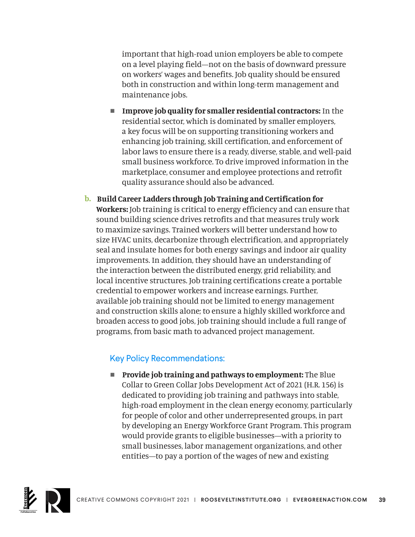important that high-road union employers be able to compete on a level playing field—not on the basis of downward pressure on workers' wages and benefits. Job quality should be ensured both in construction and within long-term management and maintenance jobs.

- **n** Improve job quality for smaller residential contractors: In the residential sector, which is dominated by smaller employers, a key focus will be on supporting transitioning workers and enhancing job training, skill certification, and enforcement of labor laws to ensure there is a ready, diverse, stable, and well-paid small business workforce. To drive improved information in the marketplace, consumer and employee protections and retrofit quality assurance should also be advanced.
- **b. Build Career Ladders through Job Training and Certification for Workers:** Job training is critical to energy efficiency and can ensure that sound building science drives retrofits and that measures truly work to maximize savings. Trained workers will better understand how to size HVAC units, decarbonize through electrification, and appropriately seal and insulate homes for both energy savings and indoor air quality improvements. In addition, they should have an understanding of the interaction between the distributed energy, grid reliability, and local incentive structures. Job training certifications create a portable credential to empower workers and increase earnings. Further, available job training should not be limited to energy management and construction skills alone; to ensure a highly skilled workforce and broaden access to good jobs, job training should include a full range of programs, from basic math to advanced project management.

#### Key Policy Recommendations:

**n** Provide job training and pathways to employment: The Blue Collar to Green Collar Jobs Development Act of 2021 (H.R. 156) is dedicated to providing job training and pathways into stable, high-road employment in the clean energy economy, particularly for people of color and other underrepresented groups, in part by developing an Energy Workforce Grant Program. This program would provide grants to eligible businesses—with a priority to small businesses, labor management organizations, and other entities—to pay a portion of the wages of new and existing

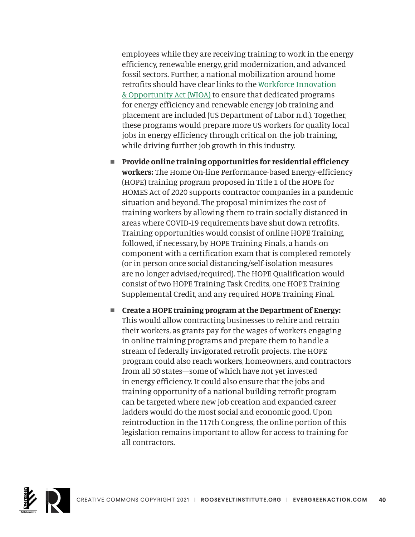employees while they are receiving training to work in the energy efficiency, renewable energy, grid modernization, and advanced fossil sectors. Further, a national mobilization around home retrofits should have clear links to the [Workforce Innovation](https://www.dol.gov/agencies/eta/wioa)  [& Opportunity Act \(WIOA\)](https://www.dol.gov/agencies/eta/wioa) to ensure that dedicated programs for energy efficiency and renewable energy job training and placement are included (US Department of Labor n.d.). Together, these programs would prepare more US workers for quality local jobs in energy efficiency through critical on-the-job training, while driving further job growth in this industry.

- **n** Provide online training opportunities for residential efficiency **workers:** The Home On-line Performance-based Energy-efficiency (HOPE) training program proposed in Title 1 of the HOPE for HOMES Act of 2020 supports contractor companies in a pandemic situation and beyond. The proposal minimizes the cost of training workers by allowing them to train socially distanced in areas where COVID-19 requirements have shut down retrofits. Training opportunities would consist of online HOPE Training, followed, if necessary, by HOPE Training Finals, a hands-on component with a certification exam that is completed remotely (or in person once social distancing/self-isolation measures are no longer advised/required). The HOPE Qualification would consist of two HOPE Training Task Credits, one HOPE Training Supplemental Credit, and any required HOPE Training Final.
- Create a HOPE training program at the Department of Energy: This would allow contracting businesses to rehire and retrain their workers, as grants pay for the wages of workers engaging in online training programs and prepare them to handle a stream of federally invigorated retrofit projects. The HOPE program could also reach workers, homeowners, and contractors from all 50 states—some of which have not yet invested in energy efficiency. It could also ensure that the jobs and training opportunity of a national building retrofit program can be targeted where new job creation and expanded career ladders would do the most social and economic good. Upon reintroduction in the 117th Congress, the online portion of this legislation remains important to allow for access to training for all contractors.

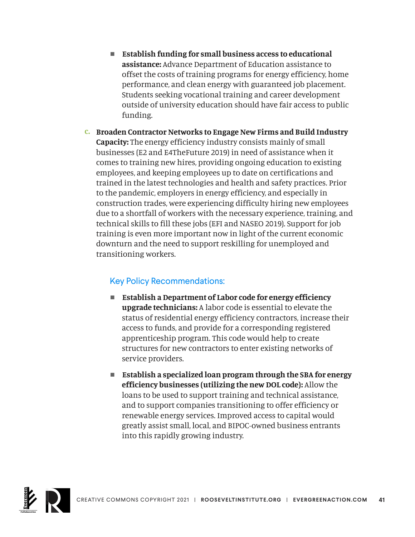- Establish funding for small business access to educational **assistance:** Advance Department of Education assistance to offset the costs of training programs for energy efficiency, home performance, and clean energy with guaranteed job placement. Students seeking vocational training and career development outside of university education should have fair access to public funding.
- **c. Broaden Contractor Networks to Engage New Firms and Build Industry Capacity:** The energy efficiency industry consists mainly of small businesses (E2 and E4TheFuture 2019) in need of assistance when it comes to training new hires, providing ongoing education to existing employees, and keeping employees up to date on certifications and trained in the latest technologies and health and safety practices. Prior to the pandemic, employers in energy efficiency, and especially in construction trades, were experiencing difficulty hiring new employees due to a shortfall of workers with the necessary experience, training, and technical skills to fill these jobs (EFI and NASEO 2019). Support for job training is even more important now in light of the current economic downturn and the need to support reskilling for unemployed and transitioning workers.

- **Establish a Department of Labor code for energy efficiency upgrade technicians:** A labor code is essential to elevate the status of residential energy efficiency contractors, increase their access to funds, and provide for a corresponding registered apprenticeship program. This code would help to create structures for new contractors to enter existing networks of service providers.
- Establish a specialized loan program through the SBA for energy **efficiency businesses (utilizing the new DOL code):** Allow the loans to be used to support training and technical assistance, and to support companies transitioning to offer efficiency or renewable energy services. Improved access to capital would greatly assist small, local, and BIPOC-owned business entrants into this rapidly growing industry.

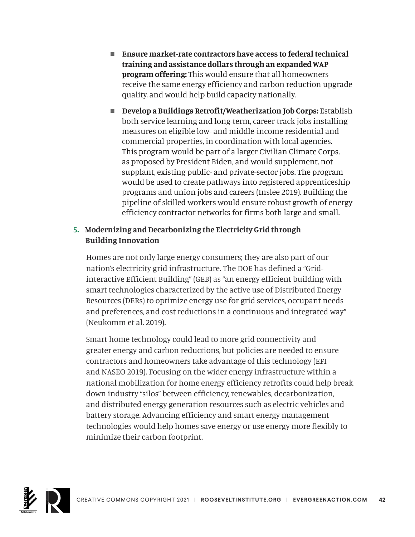- Ensure market-rate contractors have access to federal technical **training and assistance dollars through an expanded WAP program offering:** This would ensure that all homeowners receive the same energy efficiency and carbon reduction upgrade quality, and would help build capacity nationally.
- **n** Develop a Buildings Retrofit/Weatherization Job Corps: Establish both service learning and long-term, career-track jobs installing measures on eligible low- and middle-income residential and commercial properties, in coordination with local agencies. This program would be part of a larger Civilian Climate Corps, as proposed by President Biden, and would supplement, not supplant, existing public- and private-sector jobs. The program would be used to create pathways into registered apprenticeship programs and union jobs and careers (Inslee 2019). Building the pipeline of skilled workers would ensure robust growth of energy efficiency contractor networks for firms both large and small.

#### **5. Modernizing and Decarbonizing the Electricity Grid through Building Innovation**

Homes are not only large energy consumers; they are also part of our nation's electricity grid infrastructure. The DOE has defined a "Gridinteractive Efficient Building" (GEB) as "an energy efficient building with smart technologies characterized by the active use of Distributed Energy Resources (DERs) to optimize energy use for grid services, occupant needs and preferences, and cost reductions in a continuous and integrated way" (Neukomm et al. 2019).

Smart home technology could lead to more grid connectivity and greater energy and carbon reductions, but policies are needed to ensure contractors and homeowners take advantage of this technology (EFI and NASEO 2019). Focusing on the wider energy infrastructure within a national mobilization for home energy efficiency retrofits could help break down industry "silos" between efficiency, renewables, decarbonization, and distributed energy generation resources such as electric vehicles and battery storage. Advancing efficiency and smart energy management technologies would help homes save energy or use energy more flexibly to minimize their carbon footprint.

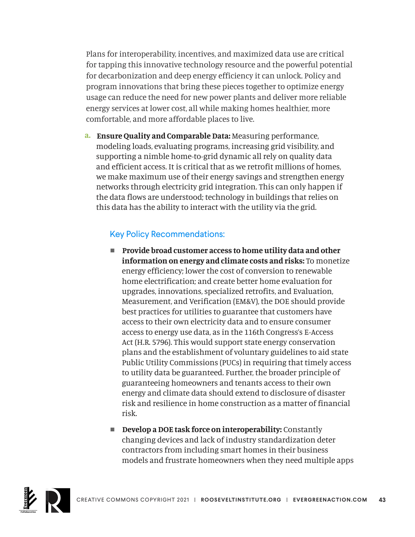Plans for interoperability, incentives, and maximized data use are critical for tapping this innovative technology resource and the powerful potential for decarbonization and deep energy efficiency it can unlock. Policy and program innovations that bring these pieces together to optimize energy usage can reduce the need for new power plants and deliver more reliable energy services at lower cost, all while making homes healthier, more comfortable, and more affordable places to live.

**a. Ensure Quality and Comparable Data:** Measuring performance, modeling loads, evaluating programs, increasing grid visibility, and supporting a nimble home-to-grid dynamic all rely on quality data and efficient access. It is critical that as we retrofit millions of homes, we make maximum use of their energy savings and strengthen energy networks through electricity grid integration. This can only happen if the data flows are understood; technology in buildings that relies on this data has the ability to interact with the utility via the grid.

- Provide broad customer access to home utility data and other **information on energy and climate costs and risks:** To monetize energy efficiency; lower the cost of conversion to renewable home electrification; and create better home evaluation for upgrades, innovations, specialized retrofits, and Evaluation, Measurement, and Verification (EM&V), the DOE should provide best practices for utilities to guarantee that customers have access to their own electricity data and to ensure consumer access to energy use data, as in the 116th Congress's E-Access Act (H.R. 5796). This would support state energy conservation plans and the establishment of voluntary guidelines to aid state Public Utility Commissions (PUCs) in requiring that timely access to utility data be guaranteed. Further, the broader principle of guaranteeing homeowners and tenants access to their own energy and climate data should extend to disclosure of disaster risk and resilience in home construction as a matter of financial risk.
- **n** Develop a DOE task force on interoperability: Constantly changing devices and lack of industry standardization deter contractors from including smart homes in their business models and frustrate homeowners when they need multiple apps

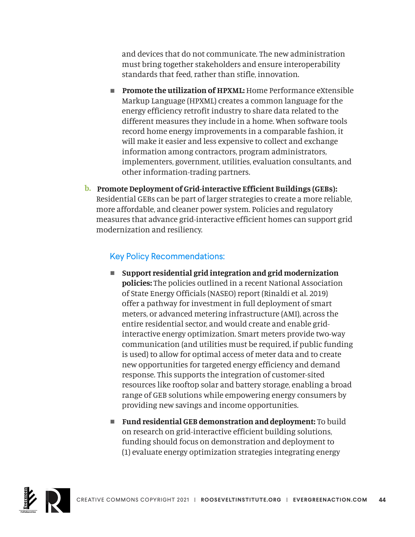and devices that do not communicate. The new administration must bring together stakeholders and ensure interoperability standards that feed, rather than stifle, innovation.

- **Promote the utilization of HPXML:** Home Performance eXtensible Markup Language (HPXML) creates a common language for the energy efficiency retrofit industry to share data related to the different measures they include in a home. When software tools record home energy improvements in a comparable fashion, it will make it easier and less expensive to collect and exchange information among contractors, program administrators, implementers, government, utilities, evaluation consultants, and other information-trading partners.
- **b. Promote Deployment of Grid-interactive Efficient Buildings (GEBs):**  Residential GEBs can be part of larger strategies to create a more reliable, more affordable, and cleaner power system. Policies and regulatory measures that advance grid-interactive efficient homes can support grid modernization and resiliency.

- Support residential grid integration and grid modernization **policies:** The policies outlined in a recent National Association of State Energy Officials (NASEO) report (Rinaldi et al. 2019) offer a pathway for investment in full deployment of smart meters, or advanced metering infrastructure (AMI), across the entire residential sector, and would create and enable gridinteractive energy optimization. Smart meters provide two-way communication (and utilities must be required, if public funding is used) to allow for optimal access of meter data and to create new opportunities for targeted energy efficiency and demand response. This supports the integration of customer-sited resources like rooftop solar and battery storage, enabling a broad range of GEB solutions while empowering energy consumers by providing new savings and income opportunities.
- Fund residential GEB demonstration and deployment: To build on research on grid-interactive efficient building solutions, funding should focus on demonstration and deployment to (1) evaluate energy optimization strategies integrating energy

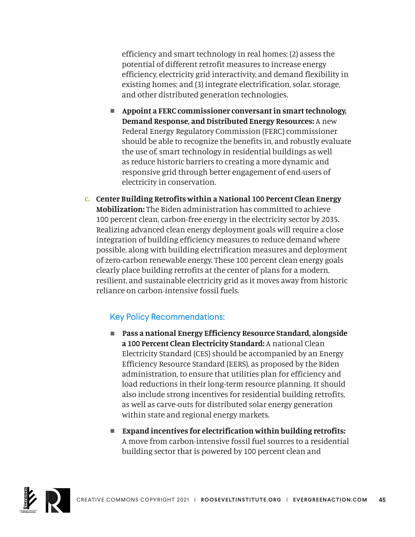efficiency and smart technology in real homes; (2) assess the potential of different retrofit measures to increase energy efficiency, electricity grid interactivity, and demand flexibility in existing homes; and (3) integrate electrification, solar, storage, and other distributed generation technologies.

- **n** Appoint a FERC commissioner conversant in smart technology, **Demand Response, and Distributed Energy Resources:** A new Federal Energy Regulatory Commission (FERC) commissioner should be able to recognize the benefits in, and robustly evaluate the use of, smart technology in residential buildings as well as reduce historic barriers to creating a more dynamic and responsive grid through better engagement of end-users of electricity in conservation.
- **c. Center Building Retrofits within a National 100 Percent Clean Energy Mobilization:** The Biden administration has committed to achieve 100 percent clean, carbon-free energy in the electricity sector by 2035. Realizing advanced clean energy deployment goals will require a close integration of building efficiency measures to reduce demand where possible, along with building electrification measures and deployment of zero-carbon renewable energy. These 100 percent clean energy goals clearly place building retrofits at the center of plans for a modern, resilient, and sustainable electricity grid as it moves away from historic reliance on carbon-intensive fossil fuels.

- Pass a national Energy Efficiency Resource Standard, alongside **a 100 Percent Clean Electricity Standard:** A national Clean Electricity Standard (CES) should be accompanied by an Energy Efficiency Resource Standard (EERS), as proposed by the Biden administration, to ensure that utilities plan for efficiency and load reductions in their long-term resource planning. It should also include strong incentives for residential building retrofits, as well as carve-outs for distributed solar energy generation within state and regional energy markets.
- Expand incentives for electrification within building retrofits: A move from carbon-intensive fossil fuel sources to a residential building sector that is powered by 100 percent clean and

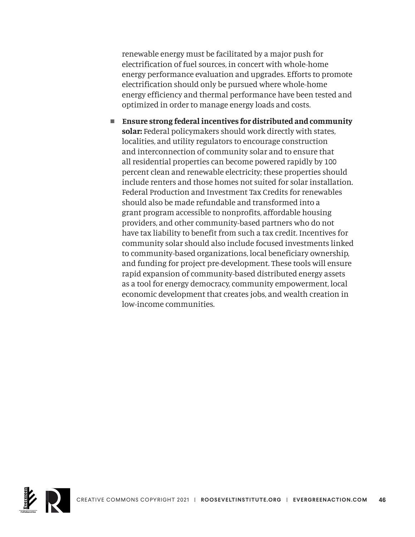renewable energy must be facilitated by a major push for electrification of fuel sources, in concert with whole-home energy performance evaluation and upgrades. Efforts to promote electrification should only be pursued where whole-home energy efficiency and thermal performance have been tested and optimized in order to manage energy loads and costs.

■ Ensure strong federal incentives for distributed and community **solar:** Federal policymakers should work directly with states, localities, and utility regulators to encourage construction and interconnection of community solar and to ensure that all residential properties can become powered rapidly by 100 percent clean and renewable electricity; these properties should include renters and those homes not suited for solar installation. Federal Production and Investment Tax Credits for renewables should also be made refundable and transformed into a grant program accessible to nonprofits, affordable housing providers, and other community-based partners who do not have tax liability to benefit from such a tax credit. Incentives for community solar should also include focused investments linked to community-based organizations, local beneficiary ownership, and funding for project pre-development. These tools will ensure rapid expansion of community-based distributed energy assets as a tool for energy democracy, community empowerment, local economic development that creates jobs, and wealth creation in low-income communities.

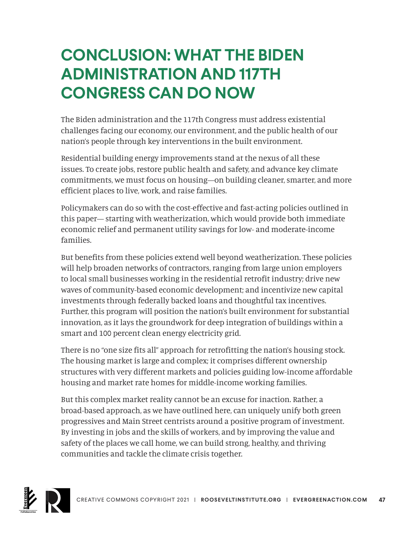# **CONCLUSION: WHAT THE BIDEN ADMINISTRATION AND 117TH CONGRESS CAN DO NOW**

The Biden administration and the 117th Congress must address existential challenges facing our economy, our environment, and the public health of our nation's people through key interventions in the built environment.

Residential building energy improvements stand at the nexus of all these issues. To create jobs, restore public health and safety, and advance key climate commitments, we must focus on housing—on building cleaner, smarter, and more efficient places to live, work, and raise families.

Policymakers can do so with the cost-effective and fast-acting policies outlined in this paper— starting with weatherization, which would provide both immediate economic relief and permanent utility savings for low- and moderate-income families.

But benefits from these policies extend well beyond weatherization. These policies will help broaden networks of contractors, ranging from large union employers to local small businesses working in the residential retrofit industry; drive new waves of community-based economic development; and incentivize new capital investments through federally backed loans and thoughtful tax incentives. Further, this program will position the nation's built environment for substantial innovation, as it lays the groundwork for deep integration of buildings within a smart and 100 percent clean energy electricity grid.

There is no "one size fits all" approach for retrofitting the nation's housing stock. The housing market is large and complex; it comprises different ownership structures with very different markets and policies guiding low-income affordable housing and market rate homes for middle-income working families.

But this complex market reality cannot be an excuse for inaction. Rather, a broad-based approach, as we have outlined here, can uniquely unify both green progressives and Main Street centrists around a positive program of investment. By investing in jobs and the skills of workers, and by improving the value and safety of the places we call home, we can build strong, healthy, and thriving communities and tackle the climate crisis together.

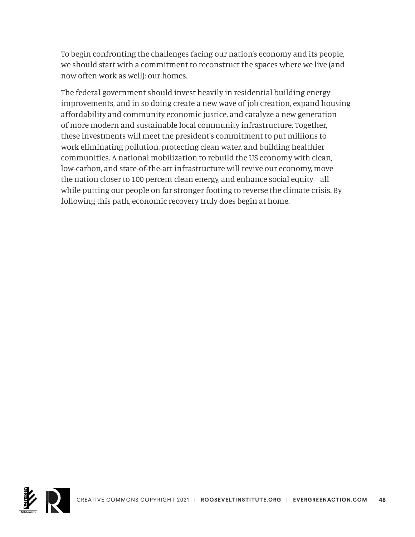To begin confronting the challenges facing our nation's economy and its people, we should start with a commitment to reconstruct the spaces where we live (and now often work as well): our homes.

The federal government should invest heavily in residential building energy improvements, and in so doing create a new wave of job creation, expand housing affordability and community economic justice, and catalyze a new generation of more modern and sustainable local community infrastructure. Together, these investments will meet the president's commitment to put millions to work eliminating pollution, protecting clean water, and building healthier communities. A national mobilization to rebuild the US economy with clean, low-carbon, and state-of-the-art infrastructure will revive our economy, move the nation closer to 100 percent clean energy, and enhance social equity—all while putting our people on far stronger footing to reverse the climate crisis. By following this path, economic recovery truly does begin at home.

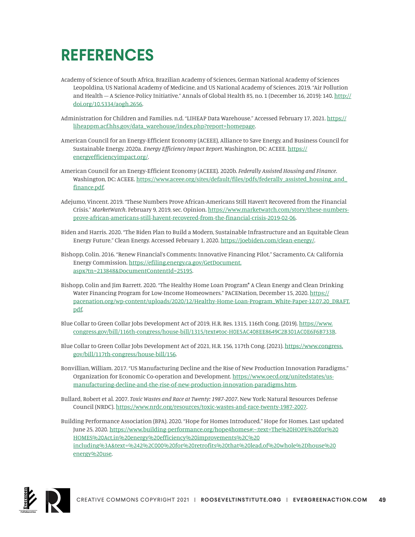# **REFERENCES**

- Academy of Science of South Africa, Brazilian Academy of Sciences, German National Academy of Sciences Leopoldina, US National Academy of Medicine, and US National Academy of Sciences. 2019. "Air Pollution and Health – A Science-Policy Initiative." Annals of Global Health 85, no. 1 (December 16, 2019): 140. [http://](http://doi.org/10.5334/aogh.2656) [doi.org/10.5334/aogh.2656.](http://doi.org/10.5334/aogh.2656)
- Administration for Children and Families. n.d. "LIHEAP Data Warehouse." Accessed February 17, 2021. [https://](https://liheappm.acf.hhs.gov/data_warehouse/index.php?report=homepage) [liheappm.acf.hhs.gov/data\\_warehouse/index.php?report=homepage.](https://liheappm.acf.hhs.gov/data_warehouse/index.php?report=homepage)
- American Council for an Energy-Efficient Economy (ACEEE), Alliance to Save Energy, and Business Council for Sustainable Energy. 2020a. *Energy Efficiency Impact Report*. Washington, DC: ACEEE. [https://](https://energyefficiencyimpact.org/) [energyefficiencyimpact.org/](https://energyefficiencyimpact.org/).
- American Council for an Energy-Efficient Economy (ACEEE). 2020b. *Federally Assisted Housing and Finance*. Washington, DC: ACEEE. [https://www.aceee.org/sites/default/files/pdfs/federally\\_assisted\\_housing\\_and\\_](https://www.aceee.org/sites/default/files/pdfs/federally_assisted_housing_and_finance.pdf) [finance.pdf.](https://www.aceee.org/sites/default/files/pdfs/federally_assisted_housing_and_finance.pdf)
- Adejumo, Vincent. 2019. "These Numbers Prove African-Americans Still Haven't Recovered from the Financial Crisis." *MarketWatch*. February 9, 2019, sec. Opinion. [https://www.marketwatch.com/story/these-numbers](https://www.marketwatch.com/story/these-numbers-prove-african-americans-still-havent-recovered-from-the-financial-crisis-2019-02-06)[prove-african-americans-still-havent-recovered-from-the-financial-crisis-2019-02-06](https://www.marketwatch.com/story/these-numbers-prove-african-americans-still-havent-recovered-from-the-financial-crisis-2019-02-06).
- Biden and Harris. 2020. "The Biden Plan to Build a Modern, Sustainable Infrastructure and an Equitable Clean Energy Future." Clean Energy. Accessed February 1, 2020. [https://joebiden.com/clean-energy/.](https://joebiden.com/clean-energy/)
- Bishopp, Colin. 2016. "Renew Financial's Comments: Innovative Financing Pilot." Sacramento, CA: California Energy Commission. [https://efiling.energy.ca.gov/GetDocument.](https://efiling.energy.ca.gov/GetDocument.aspx?tn=213848&DocumentContentId=25195) [aspx?tn=213848&DocumentContentId=25195.](https://efiling.energy.ca.gov/GetDocument.aspx?tn=213848&DocumentContentId=25195)
- Bishopp, Colin and Jim Barrett. 2020. "The Healthy Home Loan Program\* A Clean Energy and Clean Drinking Water Financing Program for Low-Income Homeowners." PACENation, December 15, 2020. [https://](https://pacenation.org/wp-content/uploads/2020/12/Healthy-Home-Loan-Program_White-Paper-12.07.20_DRAFT.pdf) [pacenation.org/wp-content/uploads/2020/12/Healthy-Home-Loan-Program\\_White-Paper-12.07.20\\_DRAFT.](https://pacenation.org/wp-content/uploads/2020/12/Healthy-Home-Loan-Program_White-Paper-12.07.20_DRAFT.pdf) [pdf](https://pacenation.org/wp-content/uploads/2020/12/Healthy-Home-Loan-Program_White-Paper-12.07.20_DRAFT.pdf).
- Blue Collar to Green Collar Jobs Development Act of 2019, H.R. Res. 1315, 116th Cong. (2019). [https://www.](https://www.congress.gov/bill/116th-congress/house-bill/1315/text#toc-H0E5AC408EE8649C2B301AC0E6F6B733B) [congress.gov/bill/116th-congress/house-bill/1315/text#toc-H0E5AC408EE8649C2B301AC0E6F6B733B.](https://www.congress.gov/bill/116th-congress/house-bill/1315/text#toc-H0E5AC408EE8649C2B301AC0E6F6B733B)
- Blue Collar to Green Collar Jobs Development Act of 2021, H.R. 156, 117th Cong. (2021). [https://www.congress.](https://www.congress.gov/bill/117th-congress/house-bill/156) [gov/bill/117th-congress/house-bill/156](https://www.congress.gov/bill/117th-congress/house-bill/156).
- Bonvillian, William. 2017. "US Manufacturing Decline and the Rise of New Production Innovation Paradigms." Organization for Economic Co-operation and Development. [https://www.oecd.org/unitedstates/us](https://www.oecd.org/unitedstates/us-manufacturing-decline-and-the-rise-of-new-production-innovation-paradigms.htm)[manufacturing-decline-and-the-rise-of-new-production-innovation-paradigms.htm.](https://www.oecd.org/unitedstates/us-manufacturing-decline-and-the-rise-of-new-production-innovation-paradigms.htm)
- Bullard, Robert et al. 2007. *Toxic Wastes and Race at Twenty: 1987-2007*. New York: Natural Resources Defense Council (NRDC). <https://www.nrdc.org/resources/toxic-wastes-and-race-twenty-1987-2007>.
- Building Performance Association (BPA). 2020. "Hope for Homes Introduced." Hope for Homes. Last updated June 25, 2020. [https://www.building-performance.org/hope4homes#:~:text=The%20HOPE%20for%20](https://www.building-performance.org/hope4homes#:~:text=The%20HOPE%20for%20HOMES%20Act,in%20energy%20efficiency%20improvements%2C%20including%3A&text=%242%2C000%20for%20retrofits%20that%20lead,of%20whole%2Dhouse%20energy%20use) [HOMES%20Act,in%20energy%20efficiency%20improvements%2C%20](https://www.building-performance.org/hope4homes#:~:text=The%20HOPE%20for%20HOMES%20Act,in%20energy%20efficiency%20improvements%2C%20including%3A&text=%242%2C000%20for%20retrofits%20that%20lead,of%20whole%2Dhouse%20energy%20use) [including%3A&text=%242%2C000%20for%20retrofits%20that%20lead,of%20whole%2Dhouse%20](https://www.building-performance.org/hope4homes#:~:text=The%20HOPE%20for%20HOMES%20Act,in%20energy%20efficiency%20improvements%2C%20including%3A&text=%242%2C000%20for%20retrofits%20that%20lead,of%20whole%2Dhouse%20energy%20use) [energy%20use.](https://www.building-performance.org/hope4homes#:~:text=The%20HOPE%20for%20HOMES%20Act,in%20energy%20efficiency%20improvements%2C%20including%3A&text=%242%2C000%20for%20retrofits%20that%20lead,of%20whole%2Dhouse%20energy%20use)

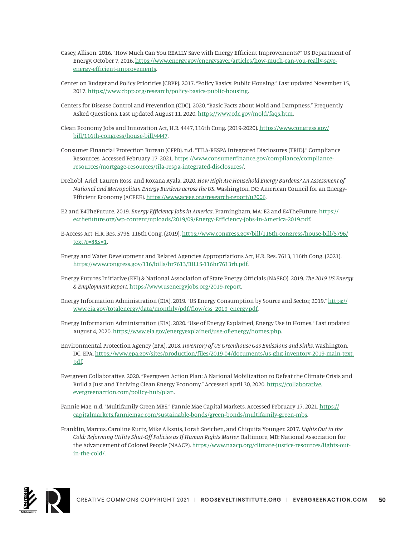- Casey, Allison. 2016. "How Much Can You REALLY Save with Energy Efficient Improvements?" US Department of Energy, October 7, 2016. [https://www.energy.gov/energysaver/articles/how-much-can-you-really-save](https://www.energy.gov/energysaver/articles/how-much-can-you-really-save-energy-efficient-improvements)[energy-efficient-improvements.](https://www.energy.gov/energysaver/articles/how-much-can-you-really-save-energy-efficient-improvements)
- Center on Budget and Policy Priorities (CBPP). 2017. "Policy Basics: Public Housing." Last updated November 15, 2017. [https://www.cbpp.org/research/policy-basics-public-housing.](https://www.cbpp.org/research/policy-basics-public-housing)
- Centers for Disease Control and Prevention (CDC). 2020. "Basic Facts about Mold and Dampness." Frequently Asked Questions. Last updated August 11, 2020. <https://www.cdc.gov/mold/faqs.htm>.
- Clean Economy Jobs and Innovation Act, H.R. 4447, 116th Cong. (2019-2020). [https://www.congress.gov/](https://www.congress.gov/bill/116th-congress/house-bill/4447) [bill/116th-congress/house-bill/4447](https://www.congress.gov/bill/116th-congress/house-bill/4447).
- Consumer Financial Protection Bureau (CFPB). n.d. "TILA-RESPA Integrated Disclosures (TRID)." Compliance Resources. Accessed February 17, 2021. [https://www.consumerfinance.gov/compliance/compliance](https://www.consumerfinance.gov/compliance/compliance-resources/mortgage-resources/tila-respa-integrated-disclosures/)[resources/mortgage-resources/tila-respa-integrated-disclosures/.](https://www.consumerfinance.gov/compliance/compliance-resources/mortgage-resources/tila-respa-integrated-disclosures/)
- Drehobl, Ariel, Lauren Ross, and Roxana Ayala. 2020. *How High Are Household Energy Burdens? An Assessment of National and Metropolitan Energy Burdens across the US*. Washington, DC: American Council for an Energy-Efficient Economy (ACEEE). <https://www.aceee.org/research-report/u2006>.
- E2 and E4TheFuture. 2019. *Energy Efficiency Jobs in America*. Framingham, MA: E2 and E4TheFuture. [https://](https://e4thefuture.org/wp-content/uploads/2019/09/Energy-Efficiency-Jobs-in-America-2019.pdf) [e4thefuture.org/wp-content/uploads/2019/09/Energy-Efficiency-Jobs-in-America-2019.pdf.](https://e4thefuture.org/wp-content/uploads/2019/09/Energy-Efficiency-Jobs-in-America-2019.pdf)
- E-Access Act, H.R. Res. 5796, 116th Cong. (2019). [https://www.congress.gov/bill/116th-congress/house-bill/5796/](https://www.congress.gov/bill/116th-congress/house-bill/5796/text?r=8&s=1) [text?r=8&s=1.](https://www.congress.gov/bill/116th-congress/house-bill/5796/text?r=8&s=1)
- Energy and Water Development and Related Agencies Appropriations Act, H.R. Res. 7613, 116th Cong. (2021). <https://www.congress.gov/116/bills/hr7613/BILLS-116hr7613rh.pdf>.
- Energy Futures Initiative (EFI) & National Association of State Energy Officials (NASEO). 2019. *The 2019 US Energy & Employment Report*. [https://www.usenergyjobs.org/2019-report.](https://www.usenergyjobs.org/2019-report)
- Energy Information Administration (EIA). 2019. "US Energy Consumption by Source and Sector, 2019." [https://](https://www.eia.gov/totalenergy/data/monthly/pdf/flow/css_2019_energy.pdf) [www.eia.gov/totalenergy/data/monthly/pdf/flow/css\\_2019\\_energy.pdf](https://www.eia.gov/totalenergy/data/monthly/pdf/flow/css_2019_energy.pdf).
- Energy Information Administration (EIA). 2020. "Use of Energy Explained, Energy Use in Homes." Last updated August 4, 2020. [https://www.eia.gov/energyexplained/use-of-energy/homes.php.](https://www.eia.gov/energyexplained/use-of-energy/homes.php)
- Environmental Protection Agency (EPA). 2018. *Inventory of US Greenhouse Gas Emissions and Sinks*. Washington, DC: EPA. [https://www.epa.gov/sites/production/files/2019-04/documents/us-ghg-inventory-2019-main-text.](https://www.epa.gov/sites/production/files/2019-04/documents/us-ghg-inventory-2019-main-text.pdf) [pdf](https://www.epa.gov/sites/production/files/2019-04/documents/us-ghg-inventory-2019-main-text.pdf).
- Evergreen Collaborative. 2020. "Evergreen Action Plan: A National Mobilization to Defeat the Climate Crisis and Build a Just and Thriving Clean Energy Economy." Accessed April 30, 2020. [https://collaborative.](https://collaborative.evergreenaction.com/policy-hub/plan) [evergreenaction.com/policy-hub/plan.](https://collaborative.evergreenaction.com/policy-hub/plan)
- Fannie Mae. n.d. "Multifamily Green MBS." Fannie Mae Capital Markets. Accessed February 17, 2021. [https://](https://capitalmarkets.fanniemae.com/sustainable-bonds/green-bonds/multifamily-green-mbs) [capitalmarkets.fanniemae.com/sustainable-bonds/green-bonds/multifamily-green-mbs](https://capitalmarkets.fanniemae.com/sustainable-bonds/green-bonds/multifamily-green-mbs).
- Franklin, Marcus, Caroline Kurtz, Mike Alksnis, Lorah Steichen, and Chiquita Younger. 2017. *Lights Out in the Cold: Reforming Utility Shut-Off Policies as If Human Rights Matter*. Baltimore, MD: National Association for the Advancement of Colored People (NAACP). [https://www.naacp.org/climate-justice-resources/lights-out](https://www.naacp.org/climate-justice-resources/lights-out-in-the-cold/)[in-the-cold/](https://www.naacp.org/climate-justice-resources/lights-out-in-the-cold/).

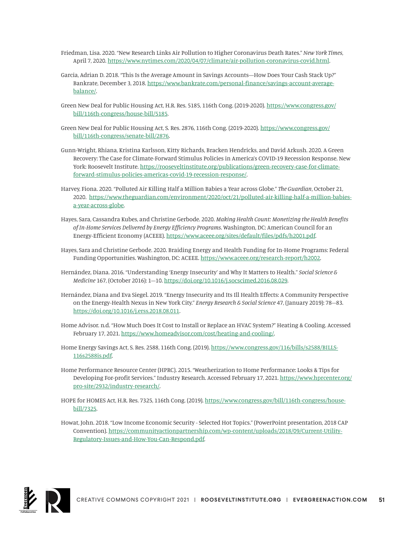- Friedman, Lisa. 2020. "New Research Links Air Pollution to Higher Coronavirus Death Rates." *New York Times*, April 7, 2020. [https://www.nytimes.com/2020/04/07/climate/air-pollution-coronavirus-covid.html.](https://www.nytimes.com/2020/04/07/climate/air-pollution-coronavirus-covid.html)
- Garcia, Adrian D. 2018. "This Is the Average Amount in Savings Accounts—How Does Your Cash Stack Up?" Bankrate, December 3, 2018. [https://www.bankrate.com/personal-finance/savings-account-average](https://www.bankrate.com/personal-finance/savings-account-average-balance/)[balance/.](https://www.bankrate.com/personal-finance/savings-account-average-balance/)
- Green New Deal for Public Housing Act, H.R. Res. 5185, 116th Cong. (2019-2020). [https://www.congress.gov/](https://www.congress.gov/bill/116th-congress/house-bill/5185) [bill/116th-congress/house-bill/5185](https://www.congress.gov/bill/116th-congress/house-bill/5185).
- Green New Deal for Public Housing Act, S. Res. 2876, 116th Cong. (2019-2020). [https://www.congress.gov/](https://www.congress.gov/bill/116th-congress/senate-bill/2876) [bill/116th-congress/senate-bill/2876](https://www.congress.gov/bill/116th-congress/senate-bill/2876).
- Gunn-Wright, Rhiana, Kristina Karlsson, Kitty Richards, Bracken Hendricks, and David Arkush. 2020. A Green Recovery: The Case for Climate-Forward Stimulus Policies in America's COVID-19 Recession Response. New York: Roosevelt Institute. [https://rooseveltinstitute.org/publications/green-recovery-case-for-climate](https://rooseveltinstitute.org/publications/green-recovery-case-for-climate-forward-stimulus-policies-americas-covid-19-recession-response/)[forward-stimulus-policies-americas-covid-19-recession-response/.](https://rooseveltinstitute.org/publications/green-recovery-case-for-climate-forward-stimulus-policies-americas-covid-19-recession-response/)
- Harvey, Fiona. 2020. "Polluted Air Killing Half a Million Babies a Year across Globe." *The Guardian*, October 21, 2020. [https://www.theguardian.com/environment/2020/oct/21/polluted-air-killing-half-a-million-babies](https://www.theguardian.com/environment/2020/oct/21/polluted-air-killing-half-a-million-babies-a-year-across-globe)[a-year-across-globe.](https://www.theguardian.com/environment/2020/oct/21/polluted-air-killing-half-a-million-babies-a-year-across-globe)
- Hayes, Sara, Cassandra Kubes, and Christine Gerbode. 2020. *Making Health Count: Monetizing the Health Benefits of In-Home Services Delivered by Energy Efficiency Programs*. Washington, DC: American Council for an Energy-Efficient Economy (ACEEE). <https://www.aceee.org/sites/default/files/pdfs/h2001.pdf>.
- Hayes, Sara and Christine Gerbode. 2020. Braiding Energy and Health Funding for In-Home Programs: Federal Funding Opportunities. Washington, DC: ACEEE. <https://www.aceee.org/research-report/h2002>.
- Hernández, Diana. 2016. "Understanding 'Energy Insecurity' and Why It Matters to Health." *Social Science & Medicine* 167, (October 2016): 1–10.<https://doi.org/10.1016/j.socscimed.2016.08.029>.
- Hernández, Diana and Eva Siegel. 2019. "Energy Insecurity and Its Ill Health Effects: A Community Perspective on the Energy-Health Nexus in New York City." *Energy Research & Social Science* 47, (January 2019): 78–83. [https://doi.org/10.1016/j.erss.2018.08.011.](https://doi.org/10.1016/j.erss.2018.08.011)
- Home Advisor. n.d. "How Much Does It Cost to Install or Replace an HVAC System?" Heating & Cooling. Accessed February 17, 2021. <https://www.homeadvisor.com/cost/heating-and-cooling/>.
- Home Energy Savings Act, S. Res. 2588, 116th Cong. (2019). [https://www.congress.gov/116/bills/s2588/BILLS-](https://www.congress.gov/116/bills/s2588/BILLS-116s2588is.pdf)[116s2588is.pdf.](https://www.congress.gov/116/bills/s2588/BILLS-116s2588is.pdf)
- Home Performance Resource Center (HPRC). 2015. "Weatherization to Home Performance: Looks & Tips for Developing For-profit Services." Industry Research. Accessed February 17, 2021. [https://www.hprcenter.org/](https://www.hprcenter.org/pro-site/2932/industry-research/) [pro-site/2932/industry-research/](https://www.hprcenter.org/pro-site/2932/industry-research/).
- HOPE for HOMES Act, H.R. Res. 7325, 116th Cong. (2019). [https://www.congress.gov/bill/116th-congress/house](https://www.congress.gov/bill/116th-congress/house-bill/7325)[bill/7325](https://www.congress.gov/bill/116th-congress/house-bill/7325).
- Howat, John. 2018. "Low Income Economic Security Selected Hot Topics." (PowerPoint presentation, 2018 CAP Convention). [https://communityactionpartnership.com/wp-content/uploads/2018/09/Current-Utility-](https://communityactionpartnership.com/wp-content/uploads/2018/09/Current-Utility-Regulatory-Issues-and-How-You-Can-Respond.pdf)[Regulatory-Issues-and-How-You-Can-Respond.pdf](https://communityactionpartnership.com/wp-content/uploads/2018/09/Current-Utility-Regulatory-Issues-and-How-You-Can-Respond.pdf).

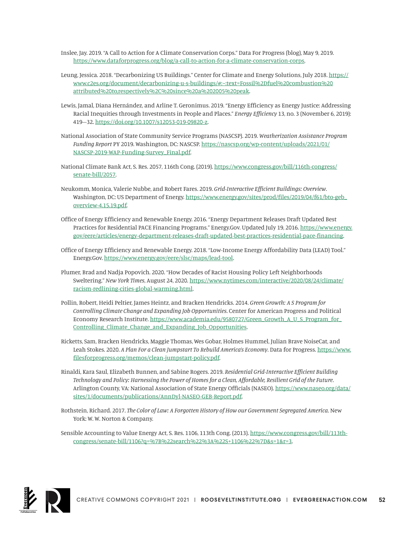Inslee, Jay. 2019. "A Call to Action for A Climate Conservation Corps." Data For Progress (blog), May 9, 2019. <https://www.dataforprogress.org/blog/a-call-to-action-for-a-climate-conservation-corps>.

- Leung, Jessica. 2018. "Decarbonizing US Buildings." Center for Climate and Energy Solutions, July 2018. [https://](https://www.c2es.org/document/decarbonizing-u-s-buildings/#:~:text=Fossil%2Dfuel%20combustion%20attributed%20to,respectively%2C%20since%20a%202005%20peak) [www.c2es.org/document/decarbonizing-u-s-buildings/#:~:text=Fossil%2Dfuel%20combustion%20](https://www.c2es.org/document/decarbonizing-u-s-buildings/#:~:text=Fossil%2Dfuel%20combustion%20attributed%20to,respectively%2C%20since%20a%202005%20peak) [attributed%20to,respectively%2C%20since%20a%202005%20peak.](https://www.c2es.org/document/decarbonizing-u-s-buildings/#:~:text=Fossil%2Dfuel%20combustion%20attributed%20to,respectively%2C%20since%20a%202005%20peak)
- Lewis, Jamal, Diana Hernández, and Arline T. Geronimus. 2019. "Energy Efficiency as Energy Justice: Addressing Racial Inequities through Investments in People and Places." *Energy Efficiency* 13, no. 3 (November 6, 2019): 419–32. <https://doi.org/10.1007/s12053-019-09820-z>.
- National Association of State Community Service Programs (NASCSP). 2019. *Weatherization Assistance Program Funding Report* PY 2019. Washington, DC: NASCSP. [https://nascsp.org/wp-content/uploads/2021/01/](https://nascsp.org/wp-content/uploads/2021/01/NASCSP-2019-WAP-Funding-Survey_Final.pdf) [NASCSP-2019-WAP-Funding-Survey\\_Final.pdf.](https://nascsp.org/wp-content/uploads/2021/01/NASCSP-2019-WAP-Funding-Survey_Final.pdf)
- National Climate Bank Act, S. Res. 2057, 116th Cong. (2019). [https://www.congress.gov/bill/116th-congress/](https://www.congress.gov/bill/116th-congress/senate-bill/2057) [senate-bill/2057](https://www.congress.gov/bill/116th-congress/senate-bill/2057).
- Neukomm, Monica, Valerie Nubbe, and Robert Fares. 2019. *Grid-Interactive Efficient Buildings: Overview*. Washington, DC: US Department of Energy. [https://www.energy.gov/sites/prod/files/2019/04/f61/bto-geb\\_](https://www.energy.gov/sites/prod/files/2019/04/f61/bto-geb_overview-4.15.19.pdf) [overview-4.15.19.pdf.](https://www.energy.gov/sites/prod/files/2019/04/f61/bto-geb_overview-4.15.19.pdf)
- Office of Energy Efficiency and Renewable Energy. 2016. "Energy Department Releases Draft Updated Best Practices for Residential PACE Financing Programs." Energy.Gov. Updated July 19, 2016. [https://www.energy.](https://www.energy.gov/eere/articles/energy-department-releases-draft-updated-best-practices-residential-pace-financing) [gov/eere/articles/energy-department-releases-draft-updated-best-practices-residential-pace-financing](https://www.energy.gov/eere/articles/energy-department-releases-draft-updated-best-practices-residential-pace-financing).
- Office of Energy Efficiency and Renewable Energy. 2018. "Low-Income Energy Affordability Data (LEAD) Tool." Energy.Gov. [https://www.energy.gov/eere/slsc/maps/lead-tool.](https://www.energy.gov/eere/slsc/maps/lead-tool)
- Plumer, Brad and Nadja Popovich. 2020. "How Decades of Racist Housing Policy Left Neighborhoods Sweltering." *New York Times*, August 24, 2020. [https://www.nytimes.com/interactive/2020/08/24/climate/](https://www.nytimes.com/interactive/2020/08/24/climate/racism-redlining-cities-global-warming.html) [racism-redlining-cities-global-warming.html](https://www.nytimes.com/interactive/2020/08/24/climate/racism-redlining-cities-global-warming.html).
- Pollin, Robert, Heidi Peltier, James Heintz, and Bracken Hendricks. 2014. *Green Growth: A S Program for Controlling Climate Change and Expanding Job Opportunities*. Center for American Progress and Political Economy Research Institute. [https://www.academia.edu/9580727/Green\\_Growth\\_A\\_U\\_S\\_Program\\_for\\_](https://www.academia.edu/9580727/Green_Growth_A_U_S_Program_for_Controlling_Climate_Change_and_Expanding_Job_Opportunities) [Controlling\\_Climate\\_Change\\_and\\_Expanding\\_Job\\_Opportunities](https://www.academia.edu/9580727/Green_Growth_A_U_S_Program_for_Controlling_Climate_Change_and_Expanding_Job_Opportunities).
- Ricketts, Sam, Bracken Hendricks, Maggie Thomas, Wes Gobar, Holmes Hummel, Julian Brave NoiseCat, and Leah Stokes. 2020. *A Plan For a Clean Jumpstart To Rebuild America's Economy*. Data for Progress. [https://www.](https://www.filesforprogress.org/memos/clean-jumpstart-policy.pdf) [filesforprogress.org/memos/clean-jumpstart-policy.pdf.](https://www.filesforprogress.org/memos/clean-jumpstart-policy.pdf)
- Rinaldi, Kara Saul, Elizabeth Bunnen, and Sabine Rogers. 2019. *Residential Grid-Interactive Efficient Building Technology and Policy: Harnessing the Power of Homes for a Clean, Affordable, Resilient Grid of the Future*. Arlington County, VA: National Association of State Energy Officials (NASEO). [https://www.naseo.org/data/](https://www.naseo.org/data/sites/1/documents/publications/AnnDyl-NASEO-GEB-Report.pdf) [sites/1/documents/publications/AnnDyl-NASEO-GEB-Report.pdf.](https://www.naseo.org/data/sites/1/documents/publications/AnnDyl-NASEO-GEB-Report.pdf)
- Rothstein, Richard. 2017. *The Color of Law: A Forgotten History of How our Government Segregated America*. New York: W. W. Norton & Company.
- Sensible Accounting to Value Energy Act, S. Res. 1106, 113th Cong. (2013). [https://www.congress.gov/bill/113th](https://www.congress.gov/bill/113th-congress/senate-bill/1106?q=%7B%22search%22%3A%22S+1106%22%7D&s=1&r=3)[congress/senate-bill/1106?q=%7B%22search%22%3A%22S+1106%22%7D&s=1&r=3.](https://www.congress.gov/bill/113th-congress/senate-bill/1106?q=%7B%22search%22%3A%22S+1106%22%7D&s=1&r=3)

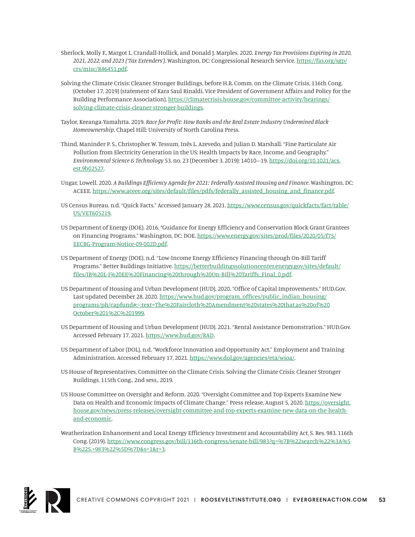- Sherlock, Molly F., Margot L. Crandall-Hollick, and Donald J. Marples. 2020. *Energy Tax Provisions Expiring in 2020, 2021, 2022, and 2023 ('Tax Extenders')*. Washington, DC: Congressional Research Service. [https://fas.org/sgp/](https://fas.org/sgp/crs/misc/R46451.pdf) [crs/misc/R46451.pdf.](https://fas.org/sgp/crs/misc/R46451.pdf)
- Solving the Climate Crisis: Cleaner Stronger Buildings, before H.R. Comm. on the Climate Crisis, 116th Cong. (October 17, 2019) (statement of Kara Saul Rinaldi, Vice President of Government Affairs and Policy for the Building Performance Association). [https://climatecrisis.house.gov/committee-activity/hearings/](https://climatecrisis.house.gov/committee-activity/hearings/solving-climate-crisis-cleaner-stronger-buildings) [solving-climate-crisis-cleaner-stronger-buildings](https://climatecrisis.house.gov/committee-activity/hearings/solving-climate-crisis-cleaner-stronger-buildings).
- Taylor, Keeanga-Yamahtta. 2019. *Race for Profit: How Banks and the Real Estate Industry Undermined Black Homeownership*. Chapel Hill: University of North Carolina Press.
- Thind, Maninder P. S., Christopher W. Tessum, Inês L. Azevedo, and Julian D. Marshall. "Fine Particulate Air Pollution from Electricity Generation in the US: Health Impacts by Race, Income, and Geography." *Environmental Science & Technology* 53, no. 23 (December 3, 2019): 14010–19. [https://doi.org/10.1021/acs.](https://doi.org/10.1021/acs.est.9b02527) [est.9b02527.](https://doi.org/10.1021/acs.est.9b02527)
- Ungar, Lowell. 2020. *A Buildings Efficiency Agenda for 2021: Federally Assisted Housing and Finance*. Washington, DC: ACEEE. [https://www.aceee.org/sites/default/files/pdfs/federally\\_assisted\\_housing\\_and\\_finance.pdf.](https://www.aceee.org/sites/default/files/pdfs/federally_assisted_housing_and_finance.pdf)
- US Census Bureau. n.d. "Quick Facts." Accessed January 28, 2021. [https://www.census.gov/quickfacts/fact/table/](https://www.census.gov/quickfacts/fact/table/US/VET605219) [US/VET605219](https://www.census.gov/quickfacts/fact/table/US/VET605219).
- US Department of Energy (DOE). 2016. "Guidance for Energy Efficiency and Conservation Block Grant Grantees on Financing Programs." Washington, DC: DOE. [https://www.energy.gov/sites/prod/files/2020/05/f75/](https://www.energy.gov/sites/prod/files/2020/05/f75/EECBG-Program-Notice-09-002D.pdf) [EECBG-Program-Notice-09-002D.pdf](https://www.energy.gov/sites/prod/files/2020/05/f75/EECBG-Program-Notice-09-002D.pdf).
- US Department of Energy (DOE). n.d. "Low-Income Energy Efficiency Financing through On-Bill Tariff Programs." Better Buildings Initiative. [https://betterbuildingssolutioncenter.energy.gov/sites/default/](https://betterbuildingssolutioncenter.energy.gov/sites/default/files/IB%20L-I%20EE%20Financing%20through%20On-Bill%20Tariffs_Final_0.pdf) [files/IB%20L-I%20EE%20Financing%20through%20On-Bill%20Tariffs\\_Final\\_0.pdf.](https://betterbuildingssolutioncenter.energy.gov/sites/default/files/IB%20L-I%20EE%20Financing%20through%20On-Bill%20Tariffs_Final_0.pdf)
- US Department of Housing and Urban Development (HUD). 2020. "Office of Capital Improvements." HUD.Gov. Last updated December 28, 2020. [https://www.hud.gov/program\\_offices/public\\_indian\\_housing/](https://www.hud.gov/program_offices/public_indian_housing/programs/ph/capfund#:~:text=The%20Faircloth%20Amendment%20states%20that,as%20of%20October%201%2C%201999) [programs/ph/capfund#:~:text=The%20Faircloth%20Amendment%20states%20that,as%20of%20](https://www.hud.gov/program_offices/public_indian_housing/programs/ph/capfund#:~:text=The%20Faircloth%20Amendment%20states%20that,as%20of%20October%201%2C%201999) [October%201%2C%201999](https://www.hud.gov/program_offices/public_indian_housing/programs/ph/capfund#:~:text=The%20Faircloth%20Amendment%20states%20that,as%20of%20October%201%2C%201999).
- US Department of Housing and Urban Development (HUD). 2021. "Rental Assistance Demonstration." HUD.Gov. Accessed February 17, 2021. <https://www.hud.gov/RAD>.
- US Department of Labor (DOL). n.d. "Workforce Innovation and Opportunity Act." Employment and Training Administration. Accessed February 17, 2021. [https://www.dol.gov/agencies/eta/wioa/.](https://www.dol.gov/agencies/eta/wioa/)
- US House of Representatives, Committee on the Climate Crisis. Solving the Climate Crisis: Cleaner Stronger Buildings, 115th Cong., 2nd sess., 2019.
- US House Committee on Oversight and Reform. 2020. "Oversight Committee and Top Experts Examine New Data on Health and Economic Impacts of Climate Change." Press release, August 5, 2020. [https://oversight.](https://oversight.house.gov/news/press-releases/oversight-committee-and-top-experts-examine-new-data-on-the-health-and-economic) [house.gov/news/press-releases/oversight-committee-and-top-experts-examine-new-data-on-the-health](https://oversight.house.gov/news/press-releases/oversight-committee-and-top-experts-examine-new-data-on-the-health-and-economic)[and-economic](https://oversight.house.gov/news/press-releases/oversight-committee-and-top-experts-examine-new-data-on-the-health-and-economic).
- Weatherization Enhancement and Local Energy Efficiency Investment and Accountability Act, S. Res. 983, 116th Cong. (2019). [https://www.congress.gov/bill/116th-congress/senate-bill/983?q=%7B%22search%22%3A%5](https://www.congress.gov/bill/116th-congress/senate-bill/983?q=%7B%22search%22%3A%5B%22S.+983%22%5D%7D&s=1&r=3) [B%22S.+983%22%5D%7D&s=1&r=3](https://www.congress.gov/bill/116th-congress/senate-bill/983?q=%7B%22search%22%3A%5B%22S.+983%22%5D%7D&s=1&r=3).

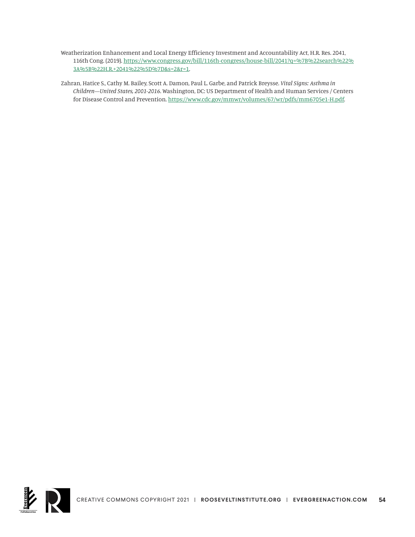- Weatherization Enhancement and Local Energy Efficiency Investment and Accountability Act, H.R. Res. 2041, 116th Cong. (2019). [https://www.congress.gov/bill/116th-congress/house-bill/2041?q=%7B%22search%22%](https://www.congress.gov/bill/116th-congress/house-bill/2041?q=%7B%22search%22%3A%5B%22H.R.+2041%22%5D%7D&s=2&r=1) [3A%5B%22H.R.+2041%22%5D%7D&s=2&r=1](https://www.congress.gov/bill/116th-congress/house-bill/2041?q=%7B%22search%22%3A%5B%22H.R.+2041%22%5D%7D&s=2&r=1).
- Zahran, Hatice S., Cathy M. Bailey, Scott A. Damon, Paul L. Garbe, and Patrick Breysse. *Vital Signs: Asthma in Children—United States, 2001-2016*. Washington, DC: US Department of Health and Human Services / Centers for Disease Control and Prevention. [https://www.cdc.gov/mmwr/volumes/67/wr/pdfs/mm6705e1-H.pdf.](https://www.cdc.gov/mmwr/volumes/67/wr/pdfs/mm6705e1-H.pdf)